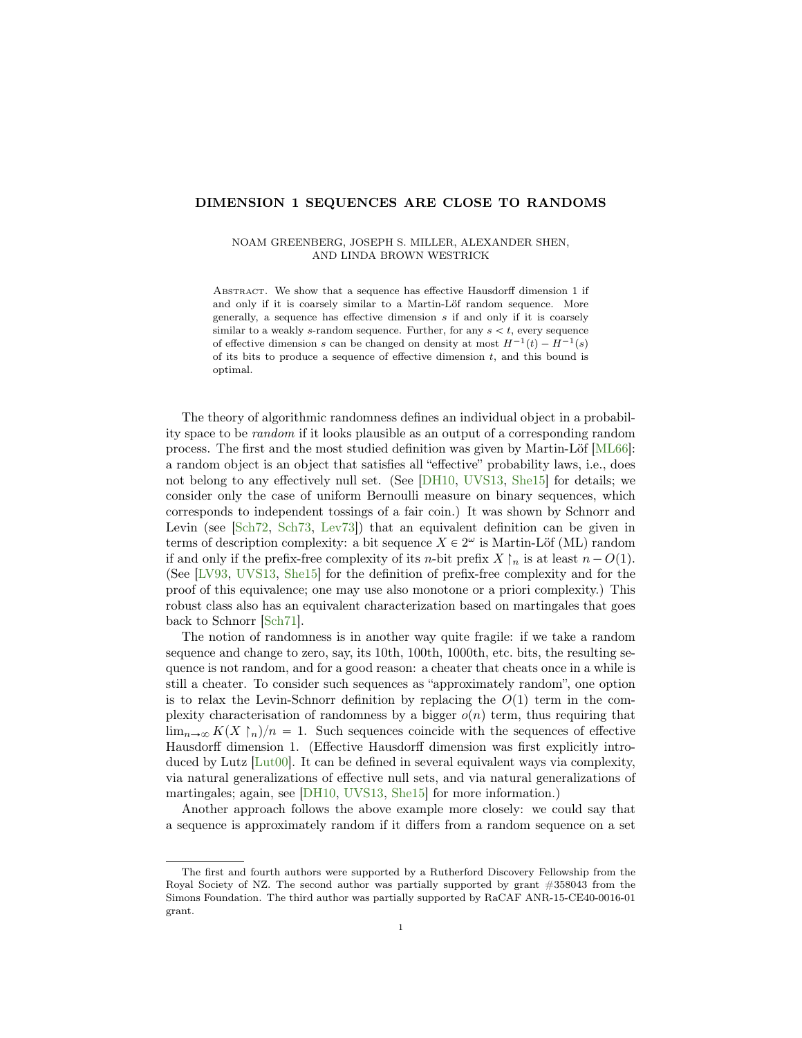# DIMENSION 1 SEQUENCES ARE CLOSE TO RANDOMS

### NOAM GREENBERG, JOSEPH S. MILLER, ALEXANDER SHEN, AND LINDA BROWN WESTRICK

Abstract. We show that a sequence has effective Hausdorff dimension 1 if and only if it is coarsely similar to a Martin-Löf random sequence. More generally, a sequence has effective dimension s if and only if it is coarsely similar to a weakly s-random sequence. Further, for any  $s < t$ , every sequence of effective dimension s can be changed on density at most  $H^{-1}(t) - H^{-1}(s)$ of its bits to produce a sequence of effective dimension  $t$ , and this bound is optimal.

The theory of algorithmic randomness defines an individual object in a probability space to be random if it looks plausible as an output of a corresponding random process. The first and the most studied definition was given by Martin-Löf [\[ML66\]](#page-17-0): a random object is an object that satisfies all "effective" probability laws, i.e., does not belong to any effectively null set. (See [\[DH10,](#page-16-0) [UVS13,](#page-17-1) [She15\]](#page-17-2) for details; we consider only the case of uniform Bernoulli measure on binary sequences, which corresponds to independent tossings of a fair coin.) It was shown by Schnorr and Levin (see [\[Sch72,](#page-17-3) [Sch73,](#page-17-4) [Lev73\]](#page-17-5)) that an equivalent definition can be given in terms of description complexity: a bit sequence  $X \in 2^{\omega}$  is Martin-Löf (ML) random if and only if the prefix-free complexity of its *n*-bit prefix  $X \upharpoonright_n$  is at least  $n - O(1)$ . (See [\[LV93,](#page-17-6) [UVS13,](#page-17-1) [She15\]](#page-17-2) for the definition of prefix-free complexity and for the proof of this equivalence; one may use also monotone or a priori complexity.) This robust class also has an equivalent characterization based on martingales that goes back to Schnorr [\[Sch71\]](#page-17-7).

The notion of randomness is in another way quite fragile: if we take a random sequence and change to zero, say, its 10th, 100th, 1000th, etc. bits, the resulting sequence is not random, and for a good reason: a cheater that cheats once in a while is still a cheater. To consider such sequences as "approximately random", one option is to relax the Levin-Schnorr definition by replacing the  $O(1)$  term in the complexity characterisation of randomness by a bigger  $o(n)$  term, thus requiring that  $\lim_{n\to\infty} K(X\restriction_n)/n = 1$ . Such sequences coincide with the sequences of effective Hausdorff dimension 1. (Effective Hausdorff dimension was first explicitly introduced by Lutz [\[Lut00\]](#page-17-8). It can be defined in several equivalent ways via complexity, via natural generalizations of effective null sets, and via natural generalizations of martingales; again, see [\[DH10,](#page-16-0) [UVS13,](#page-17-1) [She15\]](#page-17-2) for more information.)

Another approach follows the above example more closely: we could say that a sequence is approximately random if it differs from a random sequence on a set

The first and fourth authors were supported by a Rutherford Discovery Fellowship from the Royal Society of NZ. The second author was partially supported by grant #358043 from the Simons Foundation. The third author was partially supported by RaCAF ANR-15-CE40-0016-01 grant.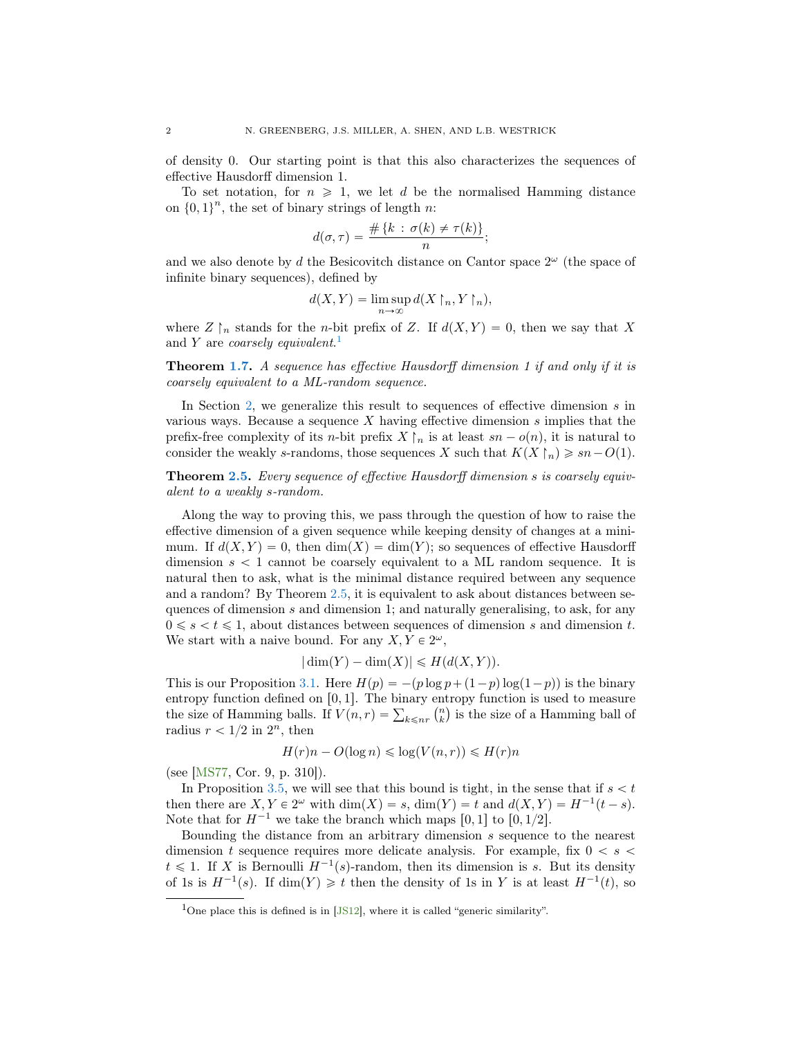of density 0. Our starting point is that this also characterizes the sequences of effective Hausdorff dimension 1.

To set notation, for  $n \geq 1$ , we let d be the normalised Hamming distance on  $\{0, 1\}^n$ , the set of binary strings of length n:

$$
d(\sigma,\tau)=\frac{\#\{k\,:\,\sigma(k)\neq\tau(k)\}}{n};
$$

and we also denote by d the Besicovitch distance on Cantor space  $2^{\omega}$  (the space of infinite binary sequences), defined by

$$
d(X,Y) = \limsup_{n \to \infty} d(X \upharpoonright_n, Y \upharpoonright_n),
$$

where  $Z \upharpoonright_n$  stands for the *n*-bit prefix of Z. If  $d(X, Y) = 0$ , then we say that X and Y are *coarsely equivalent*.<sup>[1](#page-1-0)</sup>

**Theorem [1.7.](#page-6-0)** A sequence has effective Hausdorff dimension 1 if and only if it is coarsely equivalent to a ML-random sequence.

In Section [2,](#page-6-1) we generalize this result to sequences of effective dimension  $s$  in various ways. Because a sequence X having effective dimension  $s$  implies that the prefix-free complexity of its *n*-bit prefix  $X \upharpoonright_n$  is at least  $sn - o(n)$ , it is natural to consider the weakly s-randoms, those sequences X such that  $K(X\upharpoonright_n)\geqslant sn-O(1).$ 

Theorem [2.5.](#page-8-0) Every sequence of effective Hausdorff dimension s is coarsely equivalent to a weakly s-random.

Along the way to proving this, we pass through the question of how to raise the effective dimension of a given sequence while keeping density of changes at a minimum. If  $d(X, Y) = 0$ , then  $dim(X) = dim(Y)$ ; so sequences of effective Hausdorff dimension  $s < 1$  cannot be coarsely equivalent to a ML random sequence. It is natural then to ask, what is the minimal distance required between any sequence and a random? By Theorem [2.5,](#page-8-0) it is equivalent to ask about distances between sequences of dimension s and dimension 1; and naturally generalising, to ask, for any  $0 \leq s < t \leq 1$ , about distances between sequences of dimension s and dimension t. We start with a naive bound. For any  $X, Y \in 2^{\omega}$ ,

$$
|\dim(Y) - \dim(X)| \le H(d(X, Y)).
$$

This is our Proposition [3.1.](#page-10-0) Here  $H(p) = -(p \log p + (1-p) \log(1-p))$  is the binary entropy function defined on  $[0, 1]$ . The binary entropy function is used to measure entropy function defined on [0, 1]. The binary entropy function is used to measure<br>the size of Hamming balls. If  $V(n,r) = \sum_{k \leq n} {n \choose k}$  is the size of a Hamming ball of radius  $r < 1/2$  in  $2<sup>n</sup>$ , then

$$
H(r)n - O(\log n) \le \log(V(n, r)) \le H(r)n
$$

(see [\[MS77,](#page-17-9) Cor. 9, p. 310]).

In Proposition [3.5,](#page-12-0) we will see that this bound is tight, in the sense that if  $s < t$ then there are  $X, Y \in 2^{\omega}$  with  $\dim(X) = s$ ,  $\dim(Y) = t$  and  $d(X, Y) = H^{-1}(t - s)$ . Note that for  $H^{-1}$  we take the branch which maps [0, 1] to [0, 1/2].

Bounding the distance from an arbitrary dimension  $s$  sequence to the nearest dimension t sequence requires more delicate analysis. For example, fix  $0 < s <$  $t \leq 1$ . If X is Bernoulli  $H^{-1}(s)$ -random, then its dimension is s. But its density of 1s is  $H^{-1}(s)$ . If  $\dim(Y) \geq t$  then the density of 1s in Y is at least  $H^{-1}(t)$ , so

<span id="page-1-0"></span><sup>&</sup>lt;sup>1</sup>One place this is defined is in [\[JS12\]](#page-17-10), where it is called "generic similarity".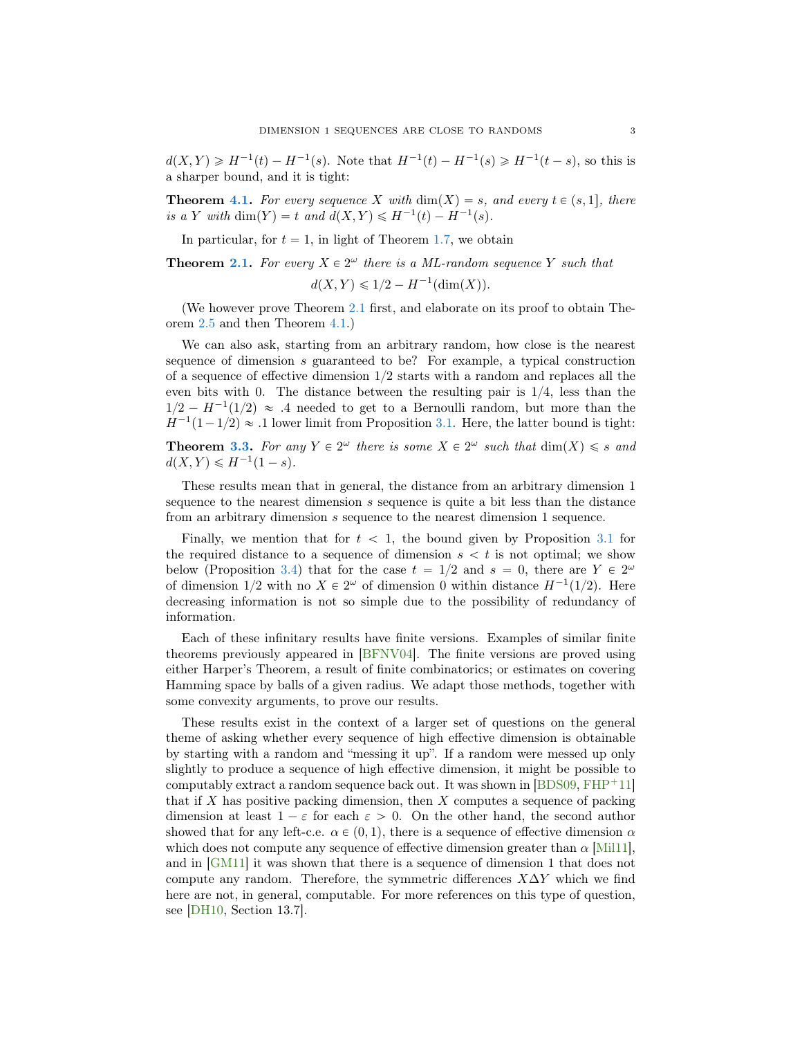$d(X,Y) \geq H^{-1}(t) - H^{-1}(s)$ . Note that  $H^{-1}(t) - H^{-1}(s) \geq H^{-1}(t-s)$ , so this is a sharper bound, and it is tight:

**Theorem [4.1.](#page-12-1)** For every sequence X with  $\dim(X) = s$ , and every  $t \in (s, 1]$ , there is a Y with dim(Y) = t and  $d(X, Y) \leq H^{-1}(t) - H^{-1}(s)$ .

In particular, for  $t = 1$ , in light of Theorem [1.7,](#page-6-0) we obtain

**Theorem [2.1.](#page-6-2)** For every  $X \in 2^{\omega}$  there is a ML-random sequence Y such that  $d(X, Y) \leq 1/2 - H^{-1}(\dim(X)).$ 

(We however prove Theorem [2.1](#page-6-2) first, and elaborate on its proof to obtain Theorem [2.5](#page-8-0) and then Theorem [4.1.](#page-12-1))

We can also ask, starting from an arbitrary random, how close is the nearest sequence of dimension s guaranteed to be? For example, a typical construction of a sequence of effective dimension  $1/2$  starts with a random and replaces all the even bits with 0. The distance between the resulting pair is  $1/4$ , less than the  $1/2 - H^{-1}(1/2) \approx .4$  needed to get to a Bernoulli random, but more than the  $H^{-1}(1-1/2) \approx .1$  lower limit from Proposition [3.1.](#page-10-0) Here, the latter bound is tight:

**Theorem [3.3.](#page-11-0)** For any  $Y \in 2^{\omega}$  there is some  $X \in 2^{\omega}$  such that  $\dim(X) \leq s$  and  $d(X, Y) \le H^{-1}(1 - s).$ 

These results mean that in general, the distance from an arbitrary dimension 1 sequence to the nearest dimension s sequence is quite a bit less than the distance from an arbitrary dimension s sequence to the nearest dimension 1 sequence.

Finally, we mention that for  $t < 1$ , the bound given by Proposition [3.1](#page-10-0) for the required distance to a sequence of dimension  $s < t$  is not optimal; we show below (Proposition [3.4\)](#page-11-1) that for the case  $t = 1/2$  and  $s = 0$ , there are  $Y \in 2^{\omega}$ of dimension  $1/2$  with no  $X \in 2^{\omega}$  of dimension 0 within distance  $H^{-1}(1/2)$ . Here decreasing information is not so simple due to the possibility of redundancy of information.

Each of these infinitary results have finite versions. Examples of similar finite theorems previously appeared in [\[BFNV04\]](#page-16-1). The finite versions are proved using either Harper's Theorem, a result of finite combinatorics; or estimates on covering Hamming space by balls of a given radius. We adapt those methods, together with some convexity arguments, to prove our results.

These results exist in the context of a larger set of questions on the general theme of asking whether every sequence of high effective dimension is obtainable by starting with a random and "messing it up". If a random were messed up only slightly to produce a sequence of high effective dimension, it might be possible to computably extract a random sequence back out. It was shown in  $[BDS09, FHP<sup>+</sup>11]$  $[BDS09, FHP<sup>+</sup>11]$  $[BDS09, FHP<sup>+</sup>11]$  $[BDS09, FHP<sup>+</sup>11]$ that if  $X$  has positive packing dimension, then  $X$  computes a sequence of packing dimension at least  $1 - \varepsilon$  for each  $\varepsilon > 0$ . On the other hand, the second author showed that for any left-c.e.  $\alpha \in (0, 1)$ , there is a sequence of effective dimension  $\alpha$ which does not compute any sequence of effective dimension greater than  $\alpha$  [\[Mil11\]](#page-17-12), and in [\[GM11\]](#page-17-13) it was shown that there is a sequence of dimension 1 that does not compute any random. Therefore, the symmetric differences  $X\Delta Y$  which we find here are not, in general, computable. For more references on this type of question, see [\[DH10,](#page-16-0) Section 13.7].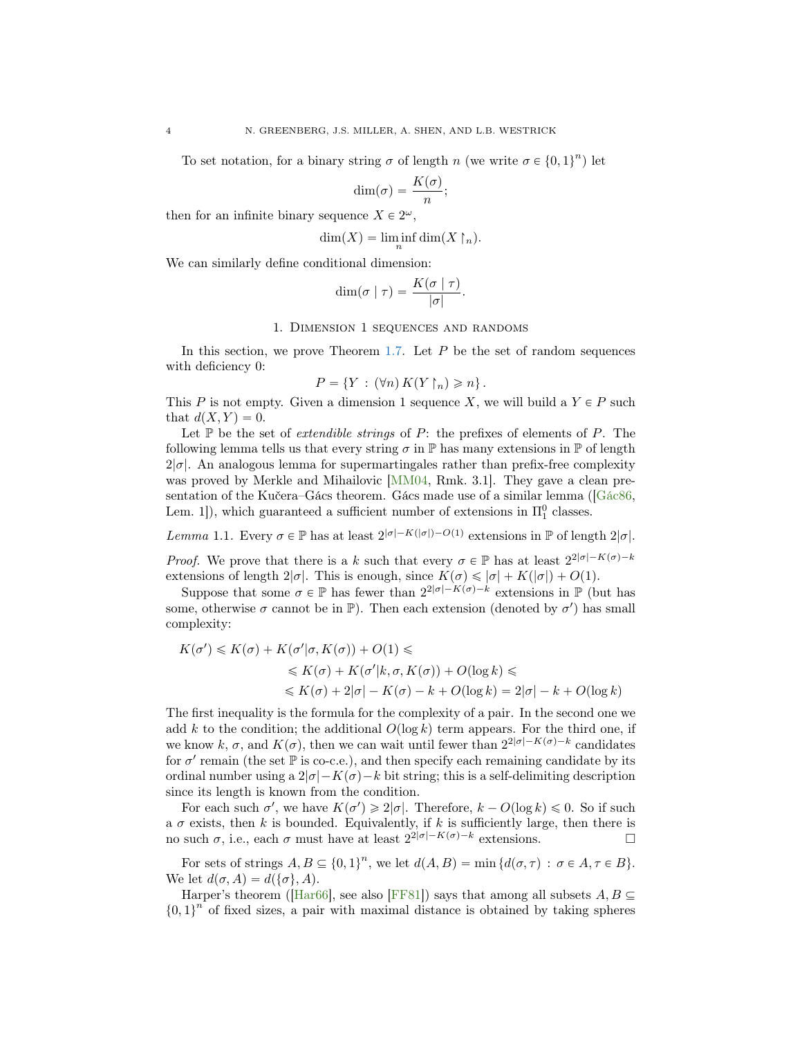To set notation, for a binary string  $\sigma$  of length n (we write  $\sigma \in \{0, 1\}^n$ ) let

$$
\dim(\sigma) = \frac{K(\sigma)}{n};
$$

then for an infinite binary sequence  $X \in 2^{\omega}$ ,

$$
\dim(X) = \liminf_n \dim(X \restriction_n).
$$

We can similarly define conditional dimension:

$$
\dim(\sigma \mid \tau) = \frac{K(\sigma \mid \tau)}{|\sigma|}.
$$

#### 1. Dimension 1 sequences and randoms

In this section, we prove Theorem [1.7.](#page-6-0) Let  $P$  be the set of random sequences with deficiency 0:

$$
P = \{ Y : (\forall n) K(Y \upharpoonright_n) \geqslant n \}.
$$

This P is not empty. Given a dimension 1 sequence X, we will build a  $Y \in P$  such that  $d(X, Y) = 0$ .

Let  $\mathbb P$  be the set of *extendible strings* of  $P$ : the prefixes of elements of  $P$ . The following lemma tells us that every string  $\sigma$  in P has many extensions in P of length  $2|\sigma|$ . An analogous lemma for supermartingales rather than prefix-free complexity was proved by Merkle and Mihailovic [\[MM04,](#page-17-14) Rmk. 3.1]. They gave a clean pre-sentation of the Kučera–Gács theorem. Gács made use of a similar lemma ([\[Gác86,](#page-17-15) Lem. 1]), which guaranteed a sufficient number of extensions in  $\Pi_1^0$  classes.

<span id="page-3-0"></span>Lemma 1.1. Every  $\sigma \in \mathbb{P}$  has at least  $2^{|\sigma|-K(|\sigma|)-O(1)}$  extensions in  $\mathbb{P}$  of length  $2|\sigma|$ .

*Proof.* We prove that there is a k such that every  $\sigma \in \mathbb{P}$  has at least  $2^{2|\sigma|-K(\sigma)-k|}$ extensions of length  $2|\sigma|$ . This is enough, since  $K(\sigma) \leq |\sigma| + K(|\sigma|) + O(1)$ .

Suppose that some  $\sigma \in \mathbb{P}$  has fewer than  $2^{2|\sigma|-K(\sigma)-k}$  extensions in  $\mathbb{P}$  (but has some, otherwise  $\sigma$  cannot be in  $\mathbb{P}$ ). Then each extension (denoted by  $\sigma'$ ) has small complexity:

$$
K(\sigma') \leq K(\sigma) + K(\sigma'|\sigma, K(\sigma)) + O(1) \leq
$$
  
\n
$$
\leq K(\sigma) + K(\sigma'|k, \sigma, K(\sigma)) + O(\log k) \leq
$$
  
\n
$$
\leq K(\sigma) + 2|\sigma| - K(\sigma) - k + O(\log k) = 2|\sigma| - k + O(\log k)
$$

The first inequality is the formula for the complexity of a pair. In the second one we add k to the condition; the additional  $O(\log k)$  term appears. For the third one, if we know k,  $\sigma$ , and  $K(\sigma)$ , then we can wait until fewer than  $2^{2|\sigma|-K(\sigma)-k}$  candidates for  $\sigma'$  remain (the set  $\mathbb P$  is co-c.e.), and then specify each remaining candidate by its ordinal number using a  $2|\sigma|-K(\sigma)-k$  bit string; this is a self-delimiting description since its length is known from the condition.

For each such  $\sigma'$ , we have  $K(\sigma') \geq 2|\sigma|$ . Therefore,  $k - O(\log k) \leq 0$ . So if such a  $\sigma$  exists, then k is bounded. Equivalently, if k is sufficiently large, then there is no such σ, i.e., each σ must have at least  $2^{2|\sigma|-K(\sigma)-k}$  extensions. □

For sets of strings  $A, B \subseteq \{0, 1\}^n$ , we let  $d(A, B) = \min \{d(\sigma, \tau) : \sigma \in A, \tau \in B\}.$ We let  $d(\sigma, A) = d(\{\sigma\}, A)$ .

Harper's theorem ([\[Har66\]](#page-17-16), see also [\[FF81\]](#page-16-3)) says that among all subsets  $A, B \subseteq$  $\{0, 1\}$ <sup>n</sup> of fixed sizes, a pair with maximal distance is obtained by taking spheres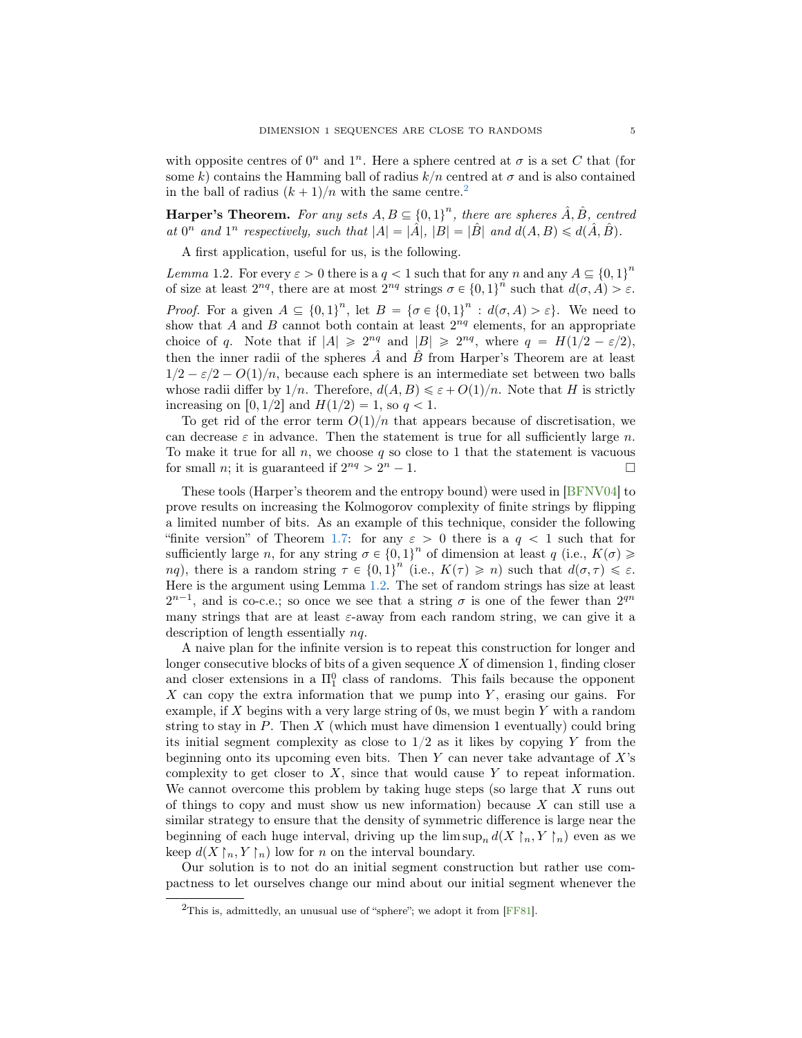with opposite centres of  $0^n$  and  $1^n$ . Here a sphere centred at  $\sigma$  is a set C that (for some k) contains the Hamming ball of radius  $k/n$  centred at  $\sigma$  and is also contained in the ball of radius  $(k + 1)/n$  with the same centre.<sup>[2](#page-4-0)</sup>

**Harper's Theorem.** For any sets  $A, B \subseteq \{0, 1\}^n$ , there are spheres  $\hat{A}, \hat{B}$ , centred at  $0^n$  and  $1^n$  respectively, such that  $|A| = |\hat{A}|$ ,  $|B| = |\hat{B}|$  and  $d(A, B) \le d(\hat{A}, \hat{B})$ .

A first application, useful for us, is the following.

<span id="page-4-1"></span>*Lemma* 1.2. For every  $\varepsilon > 0$  there is a  $q < 1$  such that for any n and any  $A \subseteq \{0, 1\}^n$ of size at least  $2^{nq}$ , there are at most  $2^{nq}$  strings  $\sigma \in \{0,1\}^n$  such that  $d(\sigma, A) > \varepsilon$ . *Proof.* For a given  $A \subseteq \{0, 1\}^n$ , let  $B = \{\sigma \in \{0, 1\}^n : d(\sigma, A) > \varepsilon\}$ . We need to show that A and B cannot both contain at least  $2^{nq}$  elements, for an appropriate choice of q. Note that if  $|A| \geq 2^{nq}$  and  $|B| \geq 2^{nq}$ , where  $q = H(1/2 - \varepsilon/2)$ , then the inner radii of the spheres  $\hat{A}$  and  $\hat{B}$  from Harper's Theorem are at least  $1/2 - \varepsilon/2 - O(1)/n$ , because each sphere is an intermediate set between two balls whose radii differ by  $1/n$ . Therefore,  $d(A, B) \leq \varepsilon + O(1)/n$ . Note that H is strictly increasing on [0, 1/2] and  $H(1/2) = 1$ , so  $q < 1$ .

To get rid of the error term  $O(1)/n$  that appears because of discretisation, we can decrease  $\varepsilon$  in advance. Then the statement is true for all sufficiently large n. To make it true for all  $n$ , we choose  $q$  so close to 1 that the statement is vacuous for small *n*; it is guaranteed if  $2^{nq} > 2^{n} - 1$ .

These tools (Harper's theorem and the entropy bound) were used in [\[BFNV04\]](#page-16-1) to prove results on increasing the Kolmogorov complexity of finite strings by flipping a limited number of bits. As an example of this technique, consider the following "finite version" of Theorem [1.7:](#page-6-0) for any  $\varepsilon > 0$  there is a  $q < 1$  such that for sufficiently large n, for any string  $\sigma \in \{0, 1\}^n$  of dimension at least  $q$  (i.e.,  $K(\sigma) \geq$ nq), there is a random string  $\tau \in \{0,1\}^n$  (i.e.,  $K(\tau) \geqslant n$ ) such that  $d(\sigma,\tau) \leqslant \varepsilon$ . Here is the argument using Lemma [1.2.](#page-4-1) The set of random strings has size at least  $2^{n-1}$ , and is co-c.e.; so once we see that a string  $\sigma$  is one of the fewer than  $2^{qn}$ many strings that are at least  $\varepsilon$ -away from each random string, we can give it a description of length essentially nq.

A naive plan for the infinite version is to repeat this construction for longer and longer consecutive blocks of bits of a given sequence X of dimension 1, finding closer and closer extensions in a  $\Pi_1^0$  class of randoms. This fails because the opponent X can copy the extra information that we pump into  $Y$ , erasing our gains. For example, if X begins with a very large string of 0s, we must begin  $Y$  with a random string to stay in  $P$ . Then  $X$  (which must have dimension 1 eventually) could bring its initial segment complexity as close to  $1/2$  as it likes by copying Y from the beginning onto its upcoming even bits. Then  $Y$  can never take advantage of  $X$ 's complexity to get closer to  $X$ , since that would cause  $Y$  to repeat information. We cannot overcome this problem by taking huge steps (so large that  $X$  runs out of things to copy and must show us new information) because  $X$  can still use a similar strategy to ensure that the density of symmetric difference is large near the beginning of each huge interval, driving up the  $\limsup_n d(X \upharpoonright_n, Y \upharpoonright_n)$  even as we keep  $d(X \upharpoonright_n, Y \upharpoonright_n)$  low for n on the interval boundary.

Our solution is to not do an initial segment construction but rather use compactness to let ourselves change our mind about our initial segment whenever the

<span id="page-4-0"></span><sup>&</sup>lt;sup>2</sup>This is, admittedly, an unusual use of "sphere"; we adopt it from [\[FF81\]](#page-16-3).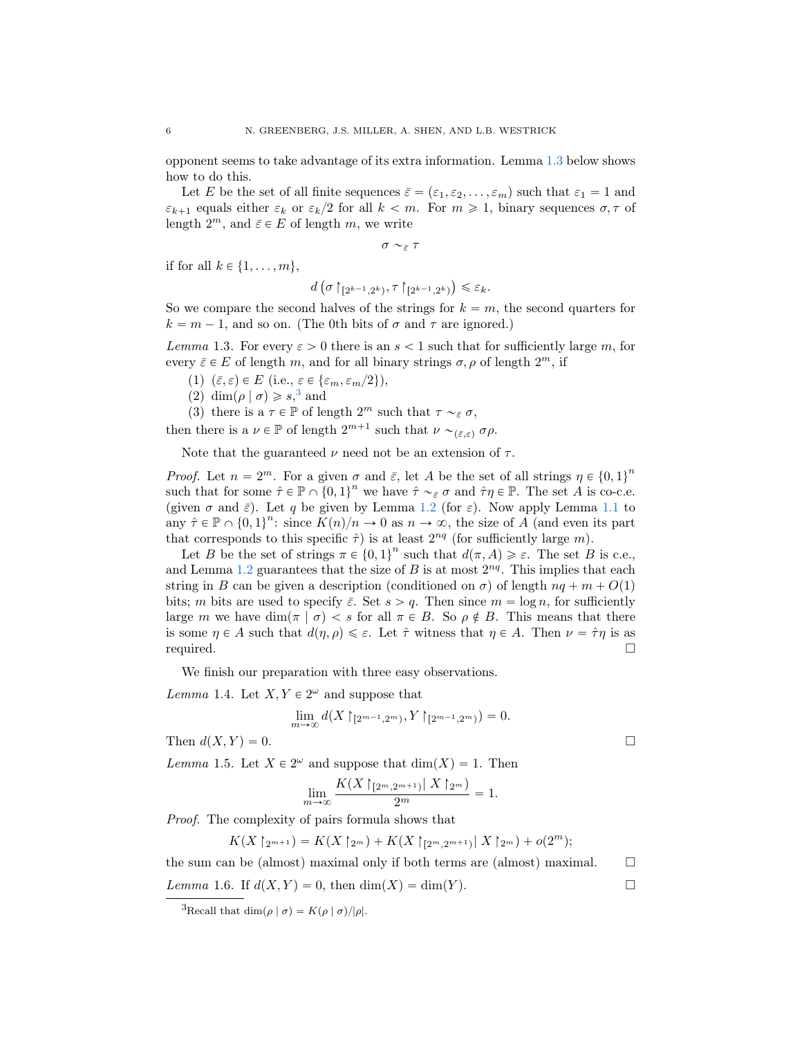opponent seems to take advantage of its extra information. Lemma [1.3](#page-5-0) below shows how to do this.

Let E be the set of all finite sequences  $\bar{\varepsilon} = (\varepsilon_1, \varepsilon_2, \dots, \varepsilon_m)$  such that  $\varepsilon_1 = 1$  and  $\varepsilon_{k+1}$  equals either  $\varepsilon_k$  or  $\varepsilon_k/2$  for all  $k < m$ . For  $m \geq 1$ , binary sequences  $\sigma, \tau$  of length  $2^m$ , and  $\bar{\varepsilon} \in E$  of length m, we write

 $\sigma \sim_{\bar{\varepsilon}} \tau$ 

if for all  $k \in \{1, \ldots, m\},\$ 

$$
d\left(\sigma\upharpoonright_{[2^{k-1},2^k)},\tau\upharpoonright_{[2^{k-1},2^k)}\right)\leqslant\varepsilon_k.
$$

So we compare the second halves of the strings for  $k = m$ , the second quarters for  $k = m - 1$ , and so on. (The 0th bits of  $\sigma$  and  $\tau$  are ignored.)

<span id="page-5-0"></span>Lemma 1.3. For every  $\varepsilon > 0$  there is an  $s < 1$  such that for sufficiently large m, for every  $\bar{\varepsilon} \in E$  of length m, and for all binary strings  $\sigma, \rho$  of length  $2^m$ , if

- (1)  $(\bar{\varepsilon}, \varepsilon) \in E$  (i.e.,  $\varepsilon \in {\varepsilon_m, \varepsilon_m/2}$ ),
- (2) dim $(\rho | \sigma) \geq s$ ,<sup>[3](#page-5-1)</sup> and

(3) there is a  $\tau \in \mathbb{P}$  of length  $2^m$  such that  $\tau \sim_{\tilde{\varepsilon}} \sigma$ ,

then there is a  $\nu \in \mathbb{P}$  of length  $2^{m+1}$  such that  $\nu \sim_{(\bar{\varepsilon}, \varepsilon)} \sigma \rho$ .

Note that the guaranteed  $\nu$  need not be an extension of  $\tau$ .

*Proof.* Let  $n = 2^m$ . For a given  $\sigma$  and  $\bar{\varepsilon}$ , let A be the set of all strings  $\eta \in \{0, 1\}^n$ such that for some  $\hat{\tau} \in \mathbb{P} \cap \{0,1\}^n$  we have  $\hat{\tau} \sim_{\tilde{\varepsilon}} \sigma$  and  $\hat{\tau} \eta \in \mathbb{P}$ . The set A is co-c.e. (given  $\sigma$  and  $\bar{\varepsilon}$ ). Let q be given by Lemma [1.2](#page-4-1) (for  $\varepsilon$ ). Now apply Lemma [1.1](#page-3-0) to any  $\hat{\tau} \in \mathbb{P} \cap \{0, 1\}^n$ : since  $K(n)/n \to 0$  as  $n \to \infty$ , the size of A (and even its part that corresponds to this specific  $\hat{\tau}$ ) is at least  $2^{nq}$  (for sufficiently large m).

Let B be the set of strings  $\pi \in \{0,1\}^n$  such that  $d(\pi, A) \geq \varepsilon$ . The set B is c.e., and Lemma [1.2](#page-4-1) guarantees that the size of  $B$  is at most  $2^{nq}$ . This implies that each string in B can be given a description (conditioned on  $\sigma$ ) of length  $nq + m + O(1)$ bits; m bits are used to specify  $\bar{\varepsilon}$ . Set  $s > q$ . Then since  $m = \log n$ , for sufficiently large m we have dim $(\pi | \sigma) < s$  for all  $\pi \in B$ . So  $\rho \notin B$ . This means that there is some  $\eta \in A$  such that  $d(\eta, \rho) \leq \varepsilon$ . Let  $\hat{\tau}$  witness that  $\eta \in A$ . Then  $\nu = \hat{\tau}\eta$  is as required.

We finish our preparation with three easy observations.

<span id="page-5-3"></span>*Lemma* 1.4. Let  $X, Y \in 2^{\omega}$  and suppose that

$$
\lim_{m \to \infty} d(X \restriction_{[2^{m-1}, 2^m)}, Y \restriction_{[2^{m-1}, 2^m)}) = 0.
$$

Then  $d(X, Y) = 0$ .

<span id="page-5-4"></span>Lemma 1.5. Let  $X \in 2^{\omega}$  and suppose that  $\dim(X) = 1$ . Then

$$
\lim_{m \to \infty} \frac{K(X \mid 2^m, 2^{m+1}) | X \mid 2^m)}{2^m} = 1.
$$

Proof. The complexity of pairs formula shows that

$$
K(X \upharpoonright_{2^{m+1}}) = K(X \upharpoonright_{2^m}) + K(X \upharpoonright_{[2^m, 2^{m+1})} | X \upharpoonright_{2^m}) + o(2^m);
$$

the sum can be (almost) maximal only if both terms are (almost) maximal.  $\square$ 

<span id="page-5-2"></span>Lemma 1.6. If 
$$
d(X, Y) = 0
$$
, then  $dim(X) = dim(Y)$ .

<span id="page-5-1"></span><sup>&</sup>lt;sup>3</sup>Recall that dim $(\rho | \sigma) = K(\rho | \sigma)/|\rho|.$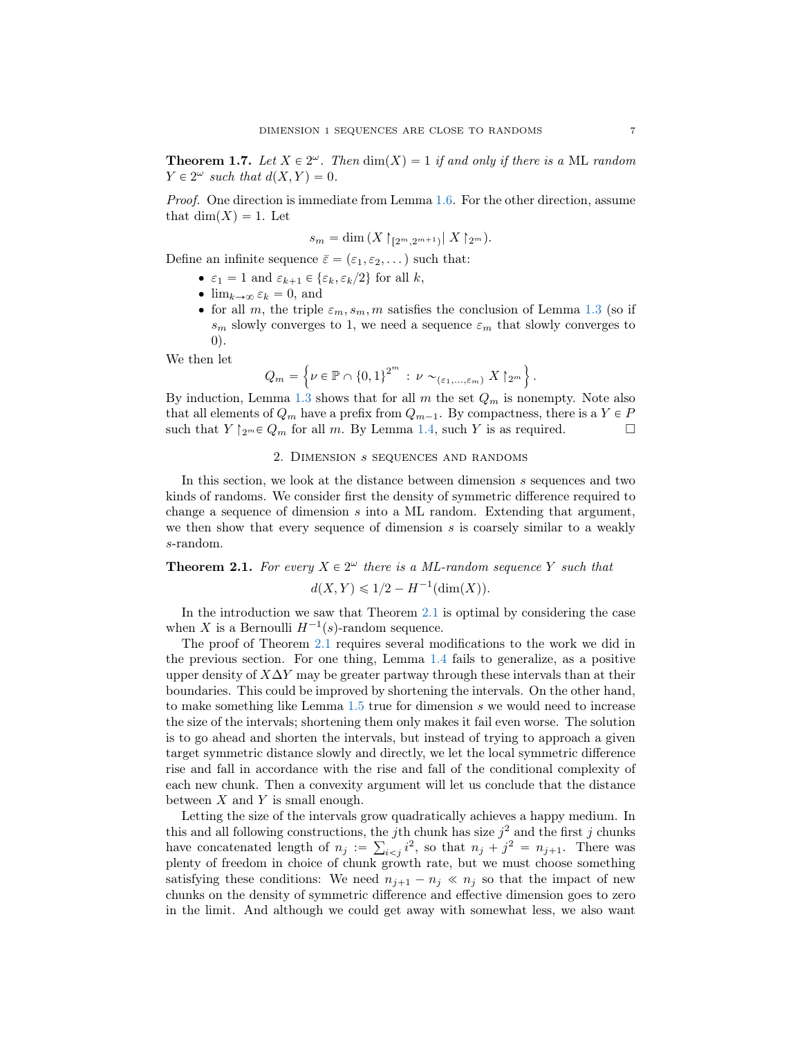<span id="page-6-0"></span>**Theorem 1.7.** Let  $X \in 2^{\omega}$ . Then  $\dim(X) = 1$  if and only if there is a ML random  $Y \in 2^{\omega}$  such that  $d(X, Y) = 0$ .

Proof. One direction is immediate from Lemma [1.6.](#page-5-2) For the other direction, assume that  $\dim(X) = 1$ . Let

$$
s_m = \dim(X \restriction_{[2^m, 2^{m+1})} | X \restriction_{2^m}).
$$

Define an infinite sequence  $\bar{\varepsilon} = (\varepsilon_1, \varepsilon_2, \dots)$  such that:

- $\varepsilon_1 = 1$  and  $\varepsilon_{k+1} \in {\varepsilon_k, \varepsilon_k/2}$  for all k,
- $\bullet$  lim $_{k\to\infty} \varepsilon_k = 0$ , and
- for all m, the triple  $\varepsilon_m$ ,  $s_m$ , m satisfies the conclusion of Lemma [1.3](#page-5-0) (so if  $s_m$  slowly converges to 1, we need a sequence  $\varepsilon_m$  that slowly converges to 0).

We then let

$$
Q_m = \left\{ \nu \in \mathbb{P} \cap \left\{0,1\right\}^{2^m} : \nu \sim_{(\varepsilon_1,\dots,\varepsilon_m)} X \upharpoonright_{2^m} \right\}.
$$

By induction, Lemma [1.3](#page-5-0) shows that for all  $m$  the set  $Q_m$  is nonempty. Note also that all elements of  $Q_m$  have a prefix from  $Q_{m-1}$ . By compactness, there is a  $Y \in P$ such that  $Y \upharpoonright_{2^m} \in Q_m$  for all m. By Lemma [1.4,](#page-5-3) such Y is as required.

## 2. Dimension s sequences and randoms

<span id="page-6-1"></span>In this section, we look at the distance between dimension s sequences and two kinds of randoms. We consider first the density of symmetric difference required to change a sequence of dimension  $s$  into a ML random. Extending that argument, we then show that every sequence of dimension  $s$  is coarsely similar to a weakly s-random.

# <span id="page-6-2"></span>**Theorem 2.1.** For every  $X \in 2^{\omega}$  there is a ML-random sequence Y such that  $d(X, Y) \leq 1/2 - H^{-1}(\dim(X)).$

In the introduction we saw that Theorem [2.1](#page-6-2) is optimal by considering the case when X is a Bernoulli  $H^{-1}(s)$ -random sequence.

The proof of Theorem [2.1](#page-6-2) requires several modifications to the work we did in the previous section. For one thing, Lemma [1.4](#page-5-3) fails to generalize, as a positive upper density of  $X\Delta Y$  may be greater partway through these intervals than at their boundaries. This could be improved by shortening the intervals. On the other hand, to make something like Lemma [1.5](#page-5-4) true for dimension s we would need to increase the size of the intervals; shortening them only makes it fail even worse. The solution is to go ahead and shorten the intervals, but instead of trying to approach a given target symmetric distance slowly and directly, we let the local symmetric difference rise and fall in accordance with the rise and fall of the conditional complexity of each new chunk. Then a convexity argument will let us conclude that the distance between  $X$  and  $Y$  is small enough.

Letting the size of the intervals grow quadratically achieves a happy medium. In this and all following constructions, the j<sup>th</sup> chunk has size  $j^2$  and the first j chunks have concatenated length of  $n_j := \sum_{i < j} i^2$ , so that  $n_j + j^2 = n_{j+1}$ . There was plenty of freedom in choice of chunk growth rate, but we must choose something satisfying these conditions: We need  $n_{j+1} - n_j \ll n_j$  so that the impact of new chunks on the density of symmetric difference and effective dimension goes to zero in the limit. And although we could get away with somewhat less, we also want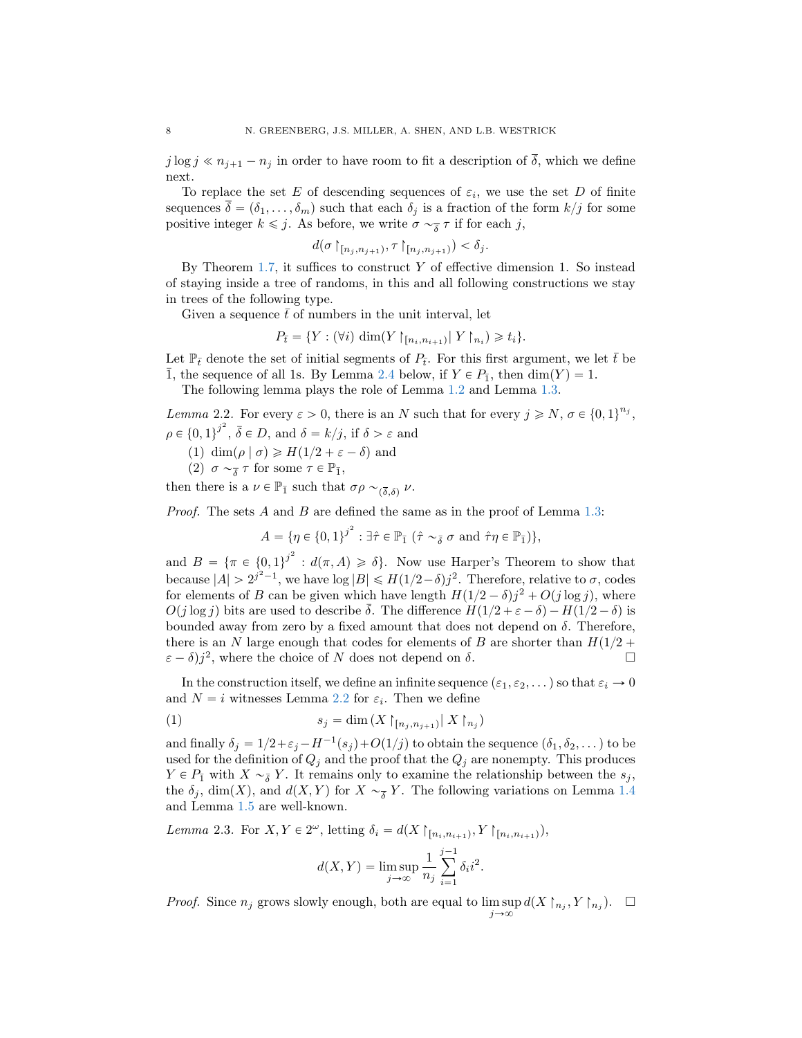$j \log j \ll n_{j+1} - n_j$  in order to have room to fit a description of  $\overline{\delta}$ , which we define next.

To replace the set E of descending sequences of  $\varepsilon_i$ , we use the set D of finite sequences  $\overline{\delta} = (\delta_1, \ldots, \delta_m)$  such that each  $\delta_j$  is a fraction of the form  $k/j$  for some positive integer  $k \leq j$ . As before, we write  $\sigma \sim_{\overline{\delta}} \tau$  if for each j,

$$
d(\sigma \upharpoonright_{[n_j, n_{j+1})}, \tau \upharpoonright_{[n_j, n_{j+1})}) < \delta_j.
$$

By Theorem  $1.7$ , it suffices to construct Y of effective dimension 1. So instead of staying inside a tree of randoms, in this and all following constructions we stay in trees of the following type.

Given a sequence  $\bar{t}$  of numbers in the unit interval, let

$$
P_{\bar{t}} = \{ Y : (\forall i) \dim(Y \mid_{[n_i, n_{i+1})} | Y \mid_{n_i}) \geq t_i \}.
$$

Let  $\mathbb{P}_{\bar{t}}$  denote the set of initial segments of  $P_{\bar{t}}$ . For this first argument, we let  $\bar{t}$  be  $\overline{1}$ , the sequence of all 1s. By Lemma [2.4](#page-7-0) below, if  $Y \in P_{\overline{1}}$ , then  $\dim(Y) = 1$ .

The following lemma plays the role of Lemma [1.2](#page-4-1) and Lemma [1.3.](#page-5-0)

<span id="page-7-1"></span>Lemma 2.2. For every  $\varepsilon > 0$ , there is an N such that for every  $j \ge N$ ,  $\sigma \in \{0, 1\}^{n_j}$ ,  $\rho \in \{0,1\}^{j^2}, \bar{\delta} \in D$ , and  $\delta = k/j$ , if  $\delta > \varepsilon$  and

(1) dim $(\rho | \sigma) \geq H(1/2 + \varepsilon - \delta)$  and

(2) 
$$
\sigma \sim_{\overline{\delta}} \tau
$$
 for some  $\tau \in \mathbb{P}_{\overline{1}}$ ,

then there is a  $\nu \in \mathbb{P}_{\bar{1}}$  such that  $\sigma \rho \sim_{(\bar{\delta},\delta)} \nu$ .

*Proof.* The sets  $A$  and  $B$  are defined the same as in the proof of Lemma [1.3:](#page-5-0)

$$
A = \{ \eta \in \{0,1\}^{j^2} : \exists \hat{\tau} \in \mathbb{P}_{\bar{1}} \; (\hat{\tau} \sim_{\bar{\delta}} \sigma \text{ and } \hat{\tau} \eta \in \mathbb{P}_{\bar{1}}) \},
$$

and  $B = {\pi \in {0,1}^j}^2 : d(\pi, A) \ge \delta}.$  Now use Harper's Theorem to show that because  $|A| > 2^{j^2-1}$ , we have  $\log |B| \le H(1/2-\delta)j^2$ . Therefore, relative to  $\sigma$ , codes for elements of B can be given which have length  $H(1/2 - \delta)j^2 + O(j \log j)$ , where  $O(j \log j)$  bits are used to describe  $\delta$ . The difference  $H(1/2 + \varepsilon - \delta) - H(1/2 - \delta)$  is bounded away from zero by a fixed amount that does not depend on  $\delta$ . Therefore, there is an N large enough that codes for elements of B are shorter than  $H(1/2 +$  $(\varepsilon - \delta) j^2$ , where the choice of N does not depend on  $\delta$ .

In the construction itself, we define an infinite sequence  $(\varepsilon_1, \varepsilon_2, \dots)$  so that  $\varepsilon_i \to 0$ and  $N = i$  witnesses Lemma [2.2](#page-7-1) for  $\varepsilon_i$ . Then we define

$$
(1) \t\t s_j = \dim(X \upharpoonright_{[n_j, n_{j+1})} | X \upharpoonright_{n_j})
$$

and finally  $\delta_j = 1/2 + \varepsilon_j - H^{-1}(s_j) + O(1/j)$  to obtain the sequence  $(\delta_1, \delta_2, \dots)$  to be used for the definition of  $Q_j$  and the proof that the  $Q_j$  are nonempty. This produces  $Y \in P_{\bar{1}}$  with  $X \sim_{\bar{\delta}} Y$ . It remains only to examine the relationship between the  $s_j$ , the  $\delta_j$ , dim $(X)$ , and  $d(X, Y)$  for  $X \sim_{\overline{\delta}} Y$ . The following variations on Lemma [1.4](#page-5-3) and Lemma [1.5](#page-5-4) are well-known.

<span id="page-7-3"></span>Lemma 2.3. For  $X, Y \in 2^{\omega}$ , letting  $\delta_i = d(X \mid_{[n_i, n_{i+1})}, Y \mid_{[n_i, n_{i+1})})$ ,

<span id="page-7-2"></span>
$$
d(X,Y) = \limsup_{j \to \infty} \frac{1}{n_j} \sum_{i=1}^{j-1} \delta_i i^2.
$$

<span id="page-7-0"></span>*Proof.* Since  $n_j$  grows slowly enough, both are equal to  $\limsup_{j\to\infty} d(X\upharpoonright_{n_j}, Y\upharpoonright_{n_j})$ .  $\square$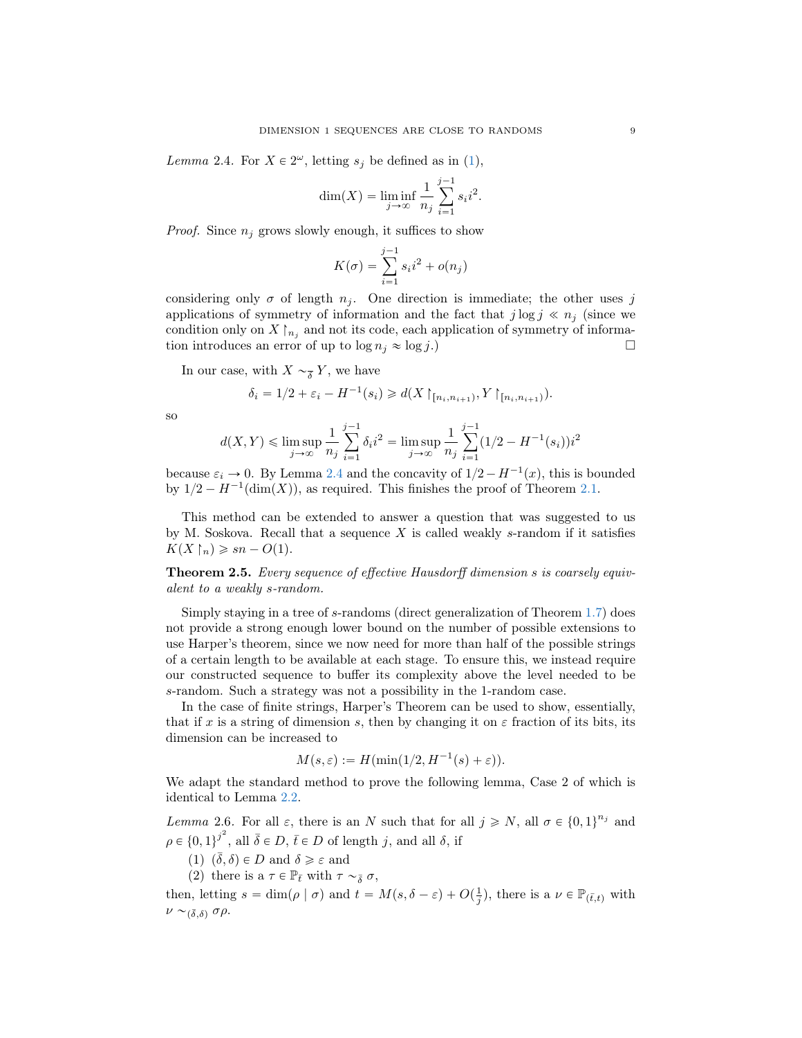Lemma 2.4. For  $X \in 2^{\omega}$ , letting  $s_j$  be defined as in [\(1\)](#page-7-2),

$$
\dim(X) = \liminf_{j \to \infty} \frac{1}{n_j} \sum_{i=1}^{j-1} s_i i^2.
$$

*Proof.* Since  $n_i$  grows slowly enough, it suffices to show

$$
K(\sigma) = \sum_{i=1}^{j-1} s_i i^2 + o(n_j)
$$

considering only  $\sigma$  of length  $n_i$ . One direction is immediate; the other uses j applications of symmetry of information and the fact that  $j \log j \ll n_i$  (since we condition only on X  $\mid_{n_j}$  and not its code, each application of symmetry of information introduces an error of up to  $\log n_j \approx \log j$ .

In our case, with  $X \sim_{\overline{\delta}} Y$ , we have

$$
\delta_i = 1/2 + \varepsilon_i - H^{-1}(s_i) \ge d(X \restriction_{[n_i, n_{i+1})}, Y \restriction_{[n_i, n_{i+1})}).
$$

so

$$
d(X,Y) \le \limsup_{j \to \infty} \frac{1}{n_j} \sum_{i=1}^{j-1} \delta_i i^2 = \limsup_{j \to \infty} \frac{1}{n_j} \sum_{i=1}^{j-1} (1/2 - H^{-1}(s_i)) i^2
$$

because  $\varepsilon_i \to 0$ . By Lemma [2.4](#page-7-0) and the concavity of  $1/2 - H^{-1}(x)$ , this is bounded by  $1/2 - H^{-1}(\dim(X))$ , as required. This finishes the proof of Theorem [2.1.](#page-6-2)

This method can be extended to answer a question that was suggested to us by M. Soskova. Recall that a sequence  $X$  is called weakly s-random if it satisfies  $K(X \restriction_n) \geqslant sn - O(1).$ 

<span id="page-8-0"></span>Theorem 2.5. Every sequence of effective Hausdorff dimension s is coarsely equivalent to a weakly s-random.

Simply staying in a tree of s-randoms (direct generalization of Theorem [1.7\)](#page-6-0) does not provide a strong enough lower bound on the number of possible extensions to use Harper's theorem, since we now need for more than half of the possible strings of a certain length to be available at each stage. To ensure this, we instead require our constructed sequence to buffer its complexity above the level needed to be s-random. Such a strategy was not a possibility in the 1-random case.

In the case of finite strings, Harper's Theorem can be used to show, essentially, that if x is a string of dimension s, then by changing it on  $\varepsilon$  fraction of its bits, its dimension can be increased to

$$
M(s,\varepsilon) := H(\min(1/2, H^{-1}(s) + \varepsilon)).
$$

We adapt the standard method to prove the following lemma, Case 2 of which is identical to Lemma [2.2.](#page-7-1)

<span id="page-8-1"></span>Lemma 2.6. For all  $\varepsilon$ , there is an N such that for all  $j \ge N$ , all  $\sigma \in \{0,1\}^{n_j}$  and  $\rho \in \{0,1\}^{j^2}$ , all  $\bar{\delta} \in D, \bar{t} \in D$  of length j, and all  $\delta$ , if

- (1)  $(\bar{\delta}, \delta) \in D$  and  $\delta \geq \varepsilon$  and
- (2) there is a  $\tau \in \mathbb{P}_{\bar{t}}$  with  $\tau \sim_{\bar{\delta}} \sigma$ ,

then, letting  $s = \dim(\rho \mid \sigma)$  and  $t = M(s, \delta - \varepsilon) + O(\frac{1}{j})$ , there is a  $\nu \in \mathbb{P}_{(\bar{t},t)}$  with  $\nu \sim_{(\bar{\delta},\delta)} \sigma \rho.$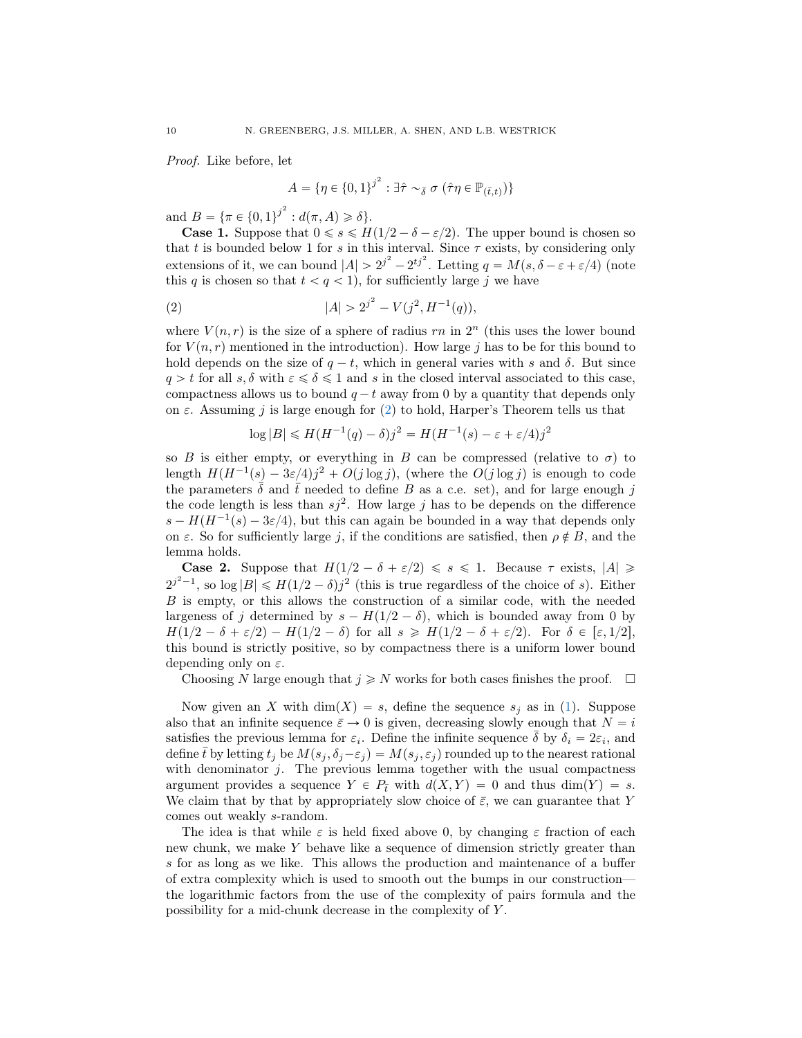Proof. Like before, let

<span id="page-9-0"></span>
$$
A = \{ \eta \in \{0,1\}^{j^2} : \exists \hat{\tau} \sim_{\bar{\delta}} \sigma \ (\hat{\tau} \eta \in \mathbb{P}_{(\bar{t},t)}) \}
$$

and  $B = {\pi \in {0, 1}^j}^2 : d(\pi, A) \ge \delta}.$ 

**Case 1.** Suppose that  $0 \le s \le H(1/2 - \delta - \varepsilon/2)$ . The upper bound is chosen so that t is bounded below 1 for s in this interval. Since  $\tau$  exists, by considering only extensions of it, we can bound  $|A| > 2^{j^2} - 2^{tj^2}$ . Letting  $q = M(s, \delta - \varepsilon + \varepsilon/4)$  (note this q is chosen so that  $t < q < 1$ ), for sufficiently large j we have

(2) 
$$
|A| > 2^{j^2} - V(j^2, H^{-1}(q)),
$$

where  $V(n,r)$  is the size of a sphere of radius rn in  $2<sup>n</sup>$  (this uses the lower bound for  $V(n,r)$  mentioned in the introduction). How large j has to be for this bound to hold depends on the size of  $q - t$ , which in general varies with s and  $\delta$ . But since  $q > t$  for all  $s, \delta$  with  $\varepsilon \leq \delta \leq 1$  and s in the closed interval associated to this case, compactness allows us to bound  $q - t$  away from 0 by a quantity that depends only on  $\varepsilon$ . Assuming j is large enough for [\(2\)](#page-9-0) to hold, Harper's Theorem tells us that

$$
\log |B| \le H(H^{-1}(q) - \delta)j^2 = H(H^{-1}(s) - \varepsilon + \varepsilon/4)j^2
$$

so B is either empty, or everything in B can be compressed (relative to  $\sigma$ ) to length  $H(H^{-1}(s) - 3\varepsilon/4)j^2 + O(j \log j)$ , (where the  $O(j \log j)$  is enough to code the parameters  $\bar{\delta}$  and  $\bar{t}$  needed to define B as a c.e. set), and for large enough j the code length is less than  $sj^2$ . How large j has to be depends on the difference  $s - H(H^{-1}(s) - 3\varepsilon/4)$ , but this can again be bounded in a way that depends only on  $\varepsilon$ . So for sufficiently large j, if the conditions are satisfied, then  $\rho \notin B$ , and the lemma holds.

**Case 2.** Suppose that  $H(1/2 - \delta + \varepsilon/2) \le s \le 1$ . Because  $\tau$  exists,  $|A| \ge$  $2^{j^2-1}$ , so  $\log |B| \le H(1/2 - \delta)j^2$  (this is true regardless of the choice of s). Either B is empty, or this allows the construction of a similar code, with the needed largeness of j determined by  $s - H(1/2 - \delta)$ , which is bounded away from 0 by  $H(1/2 - \delta + \varepsilon/2) - H(1/2 - \delta)$  for all  $s \ge H(1/2 - \delta + \varepsilon/2)$ . For  $\delta \in [\varepsilon, 1/2],$ this bound is strictly positive, so by compactness there is a uniform lower bound depending only on  $\varepsilon$ .

Choosing N large enough that  $j \geq N$  works for both cases finishes the proof.  $\Box$ 

Now given an X with  $\dim(X) = s$ , define the sequence  $s_j$  as in [\(1\)](#page-7-2). Suppose also that an infinite sequence  $\bar{\varepsilon} \to 0$  is given, decreasing slowly enough that  $N = i$ satisfies the previous lemma for  $\varepsilon_i$ . Define the infinite sequence  $\bar{\delta}$  by  $\delta_i = 2\varepsilon_i$ , and define  $\bar{t}$  by letting  $t_j$  be  $M(s_j, \delta_j - \varepsilon_j) = M(s_j, \varepsilon_j)$  rounded up to the nearest rational with denominator  $j$ . The previous lemma together with the usual compactness argument provides a sequence  $Y \in P_t$  with  $d(X, Y) = 0$  and thus dim $(Y) = s$ . We claim that by that by appropriately slow choice of  $\bar{\varepsilon}$ , we can guarantee that Y comes out weakly s-random.

The idea is that while  $\varepsilon$  is held fixed above 0, by changing  $\varepsilon$  fraction of each new chunk, we make Y behave like a sequence of dimension strictly greater than s for as long as we like. This allows the production and maintenance of a buffer of extra complexity which is used to smooth out the bumps in our construction the logarithmic factors from the use of the complexity of pairs formula and the possibility for a mid-chunk decrease in the complexity of Y .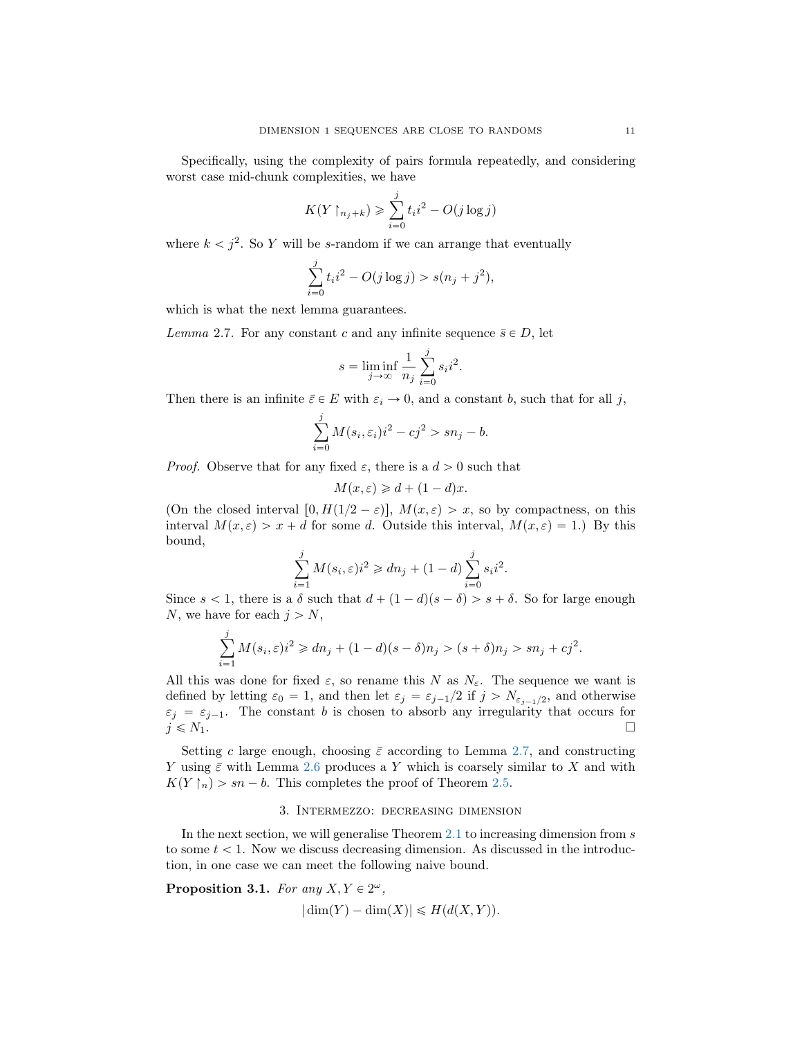Specifically, using the complexity of pairs formula repeatedly, and considering worst case mid-chunk complexities, we have

$$
K(Y \upharpoonright_{n_j+k}) \geq \sum_{i=0}^j t_i i^2 - O(j \log j)
$$

where  $k < j^2$ . So Y will be s-random if we can arrange that eventually

$$
\sum_{i=0}^{j} t_i i^2 - O(j \log j) > s(n_j + j^2),
$$

<span id="page-10-1"></span>which is what the next lemma guarantees.

Lemma 2.7. For any constant c and any infinite sequence  $\bar{s} \in D$ , let

$$
s = \liminf_{j \to \infty} \frac{1}{n_j} \sum_{i=0}^{j} s_i i^2.
$$

Then there is an infinite  $\bar{\varepsilon} \in E$  with  $\varepsilon_i \to 0$ , and a constant b, such that for all j,

$$
\sum_{i=0}^{j} M(s_i, \varepsilon_i) i^2 - c j^2 > s n_j - b.
$$

*Proof.* Observe that for any fixed  $\varepsilon$ , there is a  $d > 0$  such that

$$
M(x,\varepsilon) \geq d + (1-d)x.
$$

(On the closed interval  $[0, H(1/2 - \varepsilon)], M(x, \varepsilon) > x$ , so by compactness, on this interval  $M(x, \varepsilon) > x + d$  for some d. Outside this interval,  $M(x, \varepsilon) = 1$ .) By this bound,

$$
\sum_{i=1}^{j} M(s_i, \varepsilon) i^2 \geq d n_j + (1 - d) \sum_{i=0}^{j} s_i i^2.
$$

Since  $s < 1$ , there is a  $\delta$  such that  $d + (1 - d)(s - \delta) > s + \delta$ . So for large enough N, we have for each  $j > N$ ,

$$
\sum_{i=1}^{j} M(s_i, \varepsilon) i^2 \geq d n_j + (1 - d)(s - \delta) n_j > (s + \delta) n_j > s n_j + c j^2.
$$

All this was done for fixed  $\varepsilon$ , so rename this N as  $N_{\varepsilon}$ . The sequence we want is defined by letting  $\varepsilon_0 = 1$ , and then let  $\varepsilon_j = \varepsilon_{j-1}/2$  if  $j > N_{\varepsilon_{j-1}/2}$ , and otherwise  $\varepsilon_j = \varepsilon_{j-1}$ . The constant b is chosen to absorb any irregularity that occurs for  $j \leq N_1$ .

Setting c large enough, choosing  $\bar{\varepsilon}$  according to Lemma [2.7,](#page-10-1) and constructing Y using  $\bar{\varepsilon}$  with Lemma [2.6](#page-8-1) produces a Y which is coarsely similar to X and with  $K(Y \nmid_n) > sn - b$ . This completes the proof of Theorem [2.5.](#page-8-0)

# 3. Intermezzo: decreasing dimension

In the next section, we will generalise Theorem  $2.1$  to increasing dimension from  $s$ to some  $t < 1$ . Now we discuss decreasing dimension. As discussed in the introduction, in one case we can meet the following naive bound.

<span id="page-10-0"></span>Proposition 3.1. For any  $X, Y \in 2^{\omega}$ ,

$$
|\dim(Y) - \dim(X)| \le H(d(X, Y)).
$$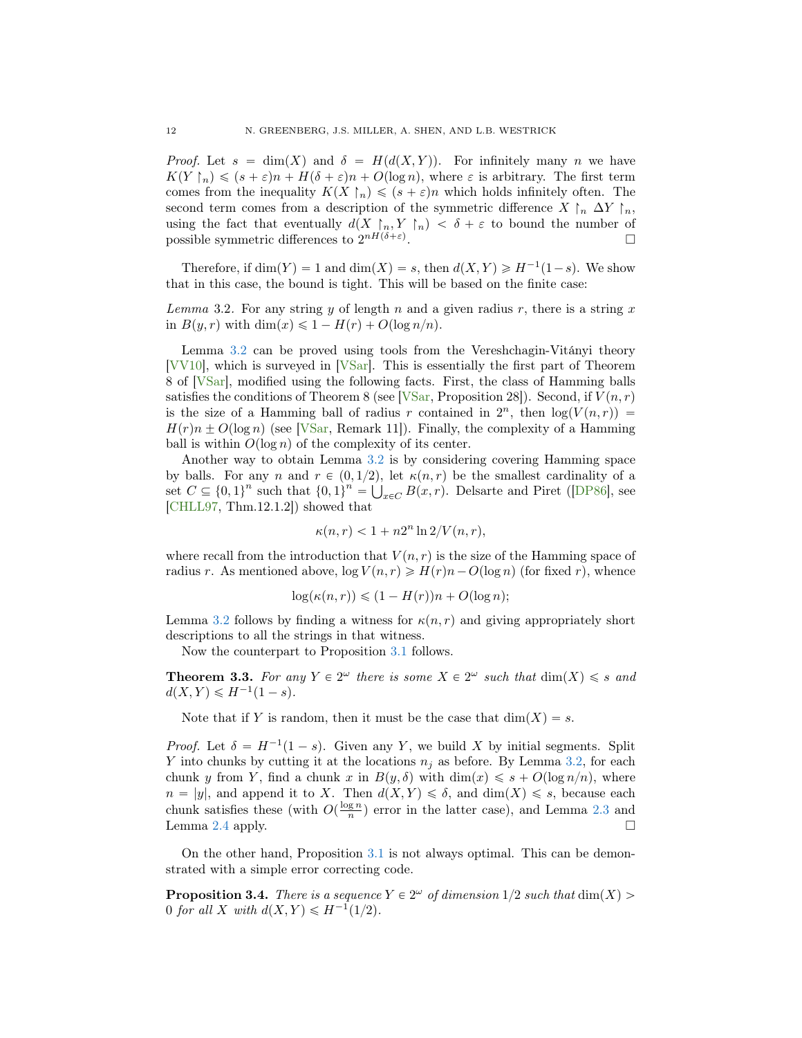*Proof.* Let  $s = \dim(X)$  and  $\delta = H(d(X, Y))$ . For infinitely many n we have  $K(Y \restriction_n) \leqslant (s + \varepsilon)n + H(\delta + \varepsilon)n + O(\log n)$ , where  $\varepsilon$  is arbitrary. The first term comes from the inequality  $K(X \restriction_n) \leqslant (s + \varepsilon)n$  which holds infinitely often. The second term comes from a description of the symmetric difference  $X \upharpoonright_n \Delta Y \upharpoonright_n$ , using the fact that eventually  $d(X \rvert_n, Y \rvert_n) < \delta + \varepsilon$  to bound the number of possible symmetric differences to  $2^{nH(\delta+\varepsilon)}$ .

Therefore, if  $\dim(Y) = 1$  and  $\dim(X) = s$ , then  $d(X, Y) \ge H^{-1}(1-s)$ . We show that in this case, the bound is tight. This will be based on the finite case:

<span id="page-11-2"></span>Lemma 3.2. For any string y of length n and a given radius r, there is a string x in  $B(y, r)$  with dim $(x) \leq 1 - H(r) + O(\log n/n)$ .

Lemma [3.2](#page-11-2) can be proved using tools from the Vereshchagin-Vitányi theory [\[VV10\]](#page-17-17), which is surveyed in [\[VSar\]](#page-17-18). This is essentially the first part of Theorem 8 of [\[VSar\]](#page-17-18), modified using the following facts. First, the class of Hamming balls satisfies the conditions of Theorem 8 (see [\[VSar,](#page-17-18) Proposition 28]). Second, if  $V(n,r)$ is the size of a Hamming ball of radius r contained in  $2^n$ , then  $log(V(n,r))$  =  $H(r)n \pm O(\log n)$  (see [\[VSar,](#page-17-18) Remark 11]). Finally, the complexity of a Hamming ball is within  $O(\log n)$  of the complexity of its center.

Another way to obtain Lemma [3.2](#page-11-2) is by considering covering Hamming space by balls. For any n and  $r \in (0, 1/2)$ , let  $\kappa(n, r)$  be the smallest cardinality of a set  $C \subseteq \{0, 1\}^n$  such that  $\{0, 1\}^n = \bigcup_{x \in C} B(x, r)$ . Delsarte and Piret ([\[DP86\]](#page-16-4), see [\[CHLL97,](#page-16-5) Thm.12.1.2]) showed that

$$
\kappa(n,r) < 1 + n2^n \ln 2/V(n,r),
$$

where recall from the introduction that  $V(n, r)$  is the size of the Hamming space of radius r. As mentioned above,  $\log V(n,r) \geq H(r)n - O(\log n)$  (for fixed r), whence

$$
\log(\kappa(n,r)) \leq (1 - H(r))n + O(\log n);
$$

Lemma [3.2](#page-11-2) follows by finding a witness for  $\kappa(n,r)$  and giving appropriately short descriptions to all the strings in that witness.

Now the counterpart to Proposition [3.1](#page-10-0) follows.

<span id="page-11-0"></span>**Theorem 3.3.** For any  $Y \in 2^{\omega}$  there is some  $X \in 2^{\omega}$  such that  $\dim(X) \leq s$  and  $d(X, Y) \le H^{-1}(1 - s).$ 

Note that if Y is random, then it must be the case that  $\dim(X) = s$ .

*Proof.* Let  $\delta = H^{-1}(1-s)$ . Given any Y, we build X by initial segments. Split Y into chunks by cutting it at the locations  $n_i$  as before. By Lemma [3.2,](#page-11-2) for each chunk y from Y, find a chunk x in  $B(y, \delta)$  with  $\dim(x) \leq s + O(\log n/n)$ , where  $n = |y|$ , and append it to X. Then  $d(X, Y) \le \delta$ , and  $dim(X) \le s$ , because each chunk satisfies these (with  $O(\frac{\log n}{n})$  error in the latter case), and Lemma [2.3](#page-7-3) and Lemma [2.4](#page-7-0) apply.  $\Box$ 

On the other hand, Proposition [3.1](#page-10-0) is not always optimal. This can be demonstrated with a simple error correcting code.

<span id="page-11-1"></span>**Proposition 3.4.** There is a sequence  $Y \in 2^{\omega}$  of dimension  $1/2$  such that  $\dim(X)$ 0 for all X with  $d(X, Y) \leq H^{-1}(1/2)$ .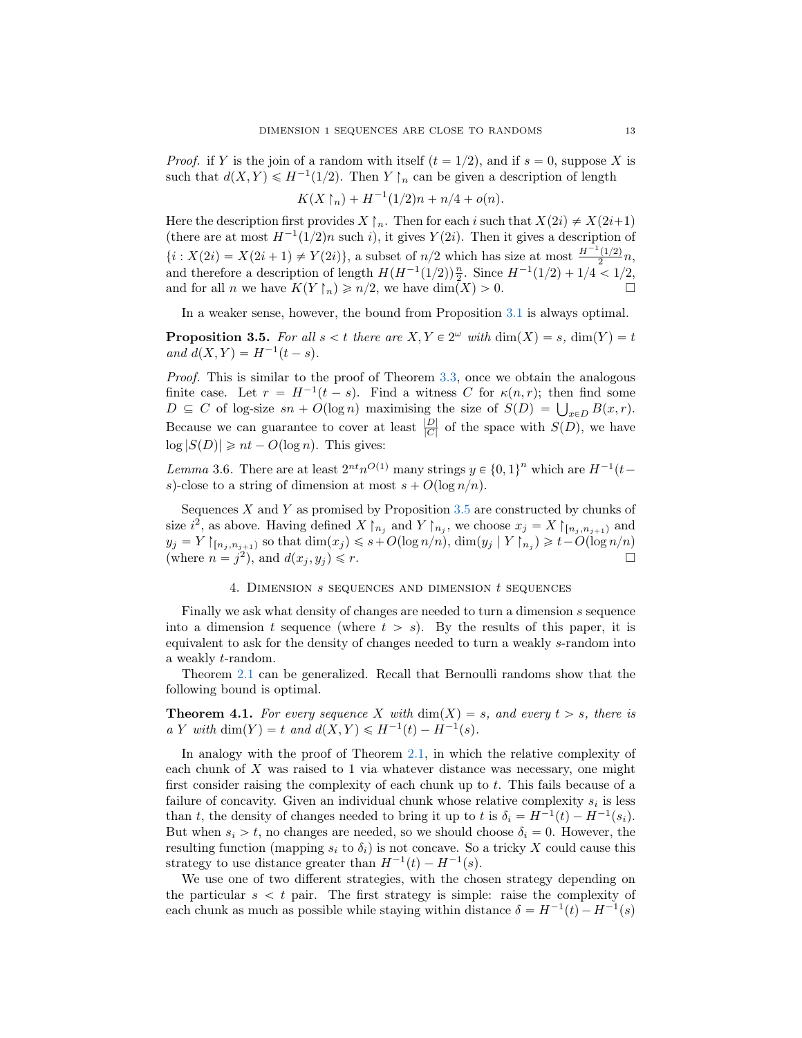*Proof.* if Y is the join of a random with itself  $(t = 1/2)$ , and if  $s = 0$ , suppose X is such that  $d(X, Y) \leq H^{-1}(1/2)$ . Then Y  $\upharpoonright_n$  can be given a description of length

$$
K(X \upharpoonright_n) + H^{-1}(1/2)n + n/4 + o(n).
$$

Here the description first provides  $X \upharpoonright_n$ . Then for each i such that  $X(2i) \neq X(2i+1)$ (there are at most  $H^{-1}(1/2)n$  such i), it gives Y (2i). Then it gives a description of  $\{i : X(2i) = X(2i + 1) \neq Y(2i)\},\$ a subset of  $n/2$  which has size at most  $\frac{H^{-1}(1/2)}{2}n$ , and therefore a description of length  $H(H^{-1}(1/2))\frac{n}{2}$ . Since  $H^{-1}(1/2) + 1/4 < 1/2$ , and for all *n* we have  $K(Y \restriction_n) \geq n/2$ , we have  $\dim(X) > 0$ .

In a weaker sense, however, the bound from Proposition [3.1](#page-10-0) is always optimal.

<span id="page-12-0"></span>**Proposition 3.5.** For all  $s < t$  there are  $X, Y \in 2^{\omega}$  with  $\dim(X) = s$ ,  $\dim(Y) = t$ and  $d(X, Y) = H^{-1}(t - s)$ .

Proof. This is similar to the proof of Theorem [3.3,](#page-11-0) once we obtain the analogous finite case. Let  $r = H^{-1}(t - s)$ . Find a witness C for  $\kappa(n, r)$ ; then find some finite case. Let  $r = H^{-1}(t - s)$ . Find a witness C for  $\kappa(n, r)$ ; then find some  $D \subseteq C$  of log-size  $sn + O(\log n)$  maximising the size of  $S(D) = \bigcup_{x \in D} B(x, r)$ . Because we can guarantee to cover at least  $\frac{|D|}{|C|}$  of the space with  $S(D)$ , we have  $\log |S(D)| \ge nt - O(\log n)$ . This gives:

Lemma 3.6. There are at least  $2^{nt}n^{O(1)}$  many strings  $y \in \{0, 1\}^n$  which are  $H^{-1}(t$ s)-close to a string of dimension at most  $s + O(\log n/n)$ .

Sequences  $X$  and  $Y$  as promised by Proposition [3.5](#page-12-0) are constructed by chunks of size  $i^2$ , as above. Having defined  $X\upharpoonright_{n_j}$  and  $Y\upharpoonright_{n_j}$ , we choose  $x_j = X\upharpoonright_{[n_j, n_{j+1})}$  and  $y_j = Y \mid_{[n_j, n_{j+1})}$  so that  $\dim(x_j) \leq s + O(\log n/n)$ ,  $\dim(y_j | Y \mid_{n_j}) \geq t - O(\log n/n)$ (where  $n = j^2$ ), and  $d(x_j, y_j) \leq r$ .

### 4. DIMENSION  $s$  sequences and dimension  $t$  sequences

Finally we ask what density of changes are needed to turn a dimension s sequence into a dimension t sequence (where  $t > s$ ). By the results of this paper, it is equivalent to ask for the density of changes needed to turn a weakly s-random into a weakly t-random.

Theorem [2.1](#page-6-2) can be generalized. Recall that Bernoulli randoms show that the following bound is optimal.

<span id="page-12-1"></span>**Theorem 4.1.** For every sequence X with  $\dim(X) = s$ , and every  $t > s$ , there is a Y with dim(Y) = t and  $d(X, Y) \leq H^{-1}(t) - H^{-1}(s)$ .

In analogy with the proof of Theorem [2.1,](#page-6-2) in which the relative complexity of each chunk of  $X$  was raised to 1 via whatever distance was necessary, one might first consider raising the complexity of each chunk up to  $t$ . This fails because of a failure of concavity. Given an individual chunk whose relative complexity  $s_i$  is less than t, the density of changes needed to bring it up to t is  $\delta_i = H^{-1}(t) - H^{-1}(s_i)$ . But when  $s_i > t$ , no changes are needed, so we should choose  $\delta_i = 0$ . However, the resulting function (mapping  $s_i$  to  $\delta_i$ ) is not concave. So a tricky X could cause this strategy to use distance greater than  $H^{-1}(t) - H^{-1}(s)$ .

We use one of two different strategies, with the chosen strategy depending on the particular  $s < t$  pair. The first strategy is simple: raise the complexity of each chunk as much as possible while staying within distance  $\delta = H^{-1}(t) - H^{-1}(s)$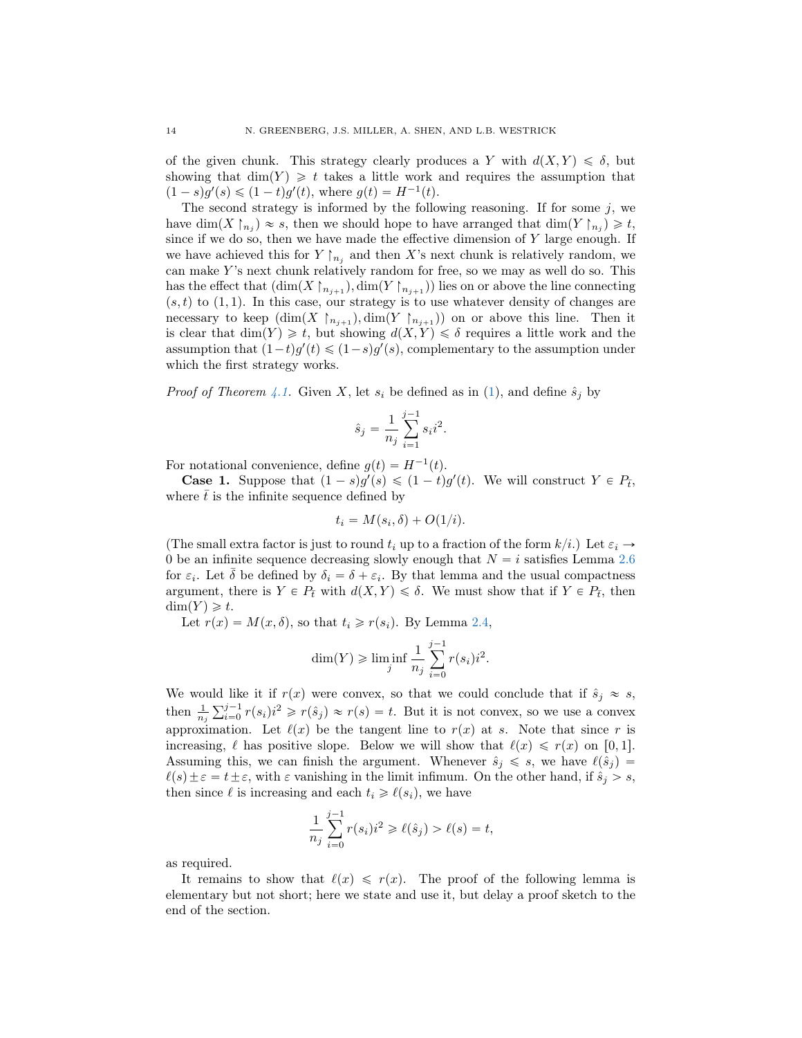of the given chunk. This strategy clearly produces a Y with  $d(X, Y) \leq \delta$ , but showing that  $\dim(Y) \geq t$  takes a little work and requires the assumption that  $(1-s)g'(s) \leq (1-t)g'(t)$ , where  $g(t) = H^{-1}(t)$ .

The second strategy is informed by the following reasoning. If for some  $j$ , we have  $\dim(X \restriction_{n_j}) \approx s$ , then we should hope to have arranged that  $\dim(Y \restriction_{n_j}) \geq t$ , since if we do so, then we have made the effective dimension of  $Y$  large enough. If we have achieved this for  $Y \upharpoonright_{n_j}$  and then X's next chunk is relatively random, we can make Y's next chunk relatively random for free, so we may as well do so. This has the effect that  $(\dim(X\restriction_{n_{j+1}}), \dim(Y\restriction_{n_{j+1}}))$  lies on or above the line connecting  $(s, t)$  to  $(1, 1)$ . In this case, our strategy is to use whatever density of changes are necessary to keep  $(\dim(X \upharpoonright_{n_{j+1}}), \dim(Y \upharpoonright_{n_{j+1}}))$  on or above this line. Then it is clear that  $\dim(Y) \geq t$ , but showing  $d(X, Y) \leq \delta$  requires a little work and the assumption that  $(1-t)g'(t) \leq (1-s)g'(s)$ , complementary to the assumption under which the first strategy works.

*Proof of Theorem [4.1.](#page-12-1)* Given X, let  $s_i$  be defined as in [\(1\)](#page-7-2), and define  $\hat{s}_i$  by

$$
\hat{s}_j = \frac{1}{n_j} \sum_{i=1}^{j-1} s_i i^2.
$$

For notational convenience, define  $g(t) = H^{-1}(t)$ .

**Case 1.** Suppose that  $(1 - s)g'(s) \leq (1 - t)g'(t)$ . We will construct  $Y \in P_{\overline{t}},$ where  $\bar{t}$  is the infinite sequence defined by

$$
t_i = M(s_i, \delta) + O(1/i).
$$

(The small extra factor is just to round  $t_i$  up to a fraction of the form  $k/i$ .) Let  $\varepsilon_i \rightarrow$ 0 be an infinite sequence decreasing slowly enough that  $N = i$  satisfies Lemma [2.6](#page-8-1) for  $\varepsilon_i$ . Let  $\bar{\delta}$  be defined by  $\delta_i = \delta + \varepsilon_i$ . By that lemma and the usual compactness argument, there is  $Y \in P_t$  with  $d(X, Y) \leq \delta$ . We must show that if  $Y \in P_t$ , then  $dim(Y) \geq t$ .

Let  $r(x) = M(x, \delta)$ , so that  $t_i \geq r(s_i)$ . By Lemma [2.4,](#page-7-0)

$$
\dim(Y) \geqslant \liminf_{j} \frac{1}{n_j} \sum_{i=0}^{j-1} r(s_i) i^2.
$$

We would like it if  $r(x)$  were convex, so that we could conclude that if  $\hat{s}_i \approx s$ , then  $\frac{1}{n_j}$ id like it if  $r(x)$  were convex, so that we could conclude that if  $s_j \approx s$ ,<br>  $\sum_{i=0}^{j-1} r(s_i) i^2 \ge r(\hat{s}_j) \approx r(s) = t$ . But it is not convex, so we use a convex approximation. Let  $\ell(x)$  be the tangent line to  $r(x)$  at s. Note that since r is increasing,  $\ell$  has positive slope. Below we will show that  $\ell(x) \leq r(x)$  on [0, 1]. Assuming this, we can finish the argument. Whenever  $\hat{s}_j \leq s$ , we have  $\ell(\hat{s}_j)$  =  $\ell(s) \pm \varepsilon = t \pm \varepsilon$ , with  $\varepsilon$  vanishing in the limit infimum. On the other hand, if  $\hat{s}_j > s$ , then since  $\ell$  is increasing and each  $t_i \geq \ell(s_i)$ , we have

$$
\frac{1}{n_j} \sum_{i=0}^{j-1} r(s_i) i^2 \ge \ell(\hat{s}_j) > \ell(s) = t,
$$

as required.

<span id="page-13-0"></span>It remains to show that  $\ell(x) \leq r(x)$ . The proof of the following lemma is elementary but not short; here we state and use it, but delay a proof sketch to the end of the section.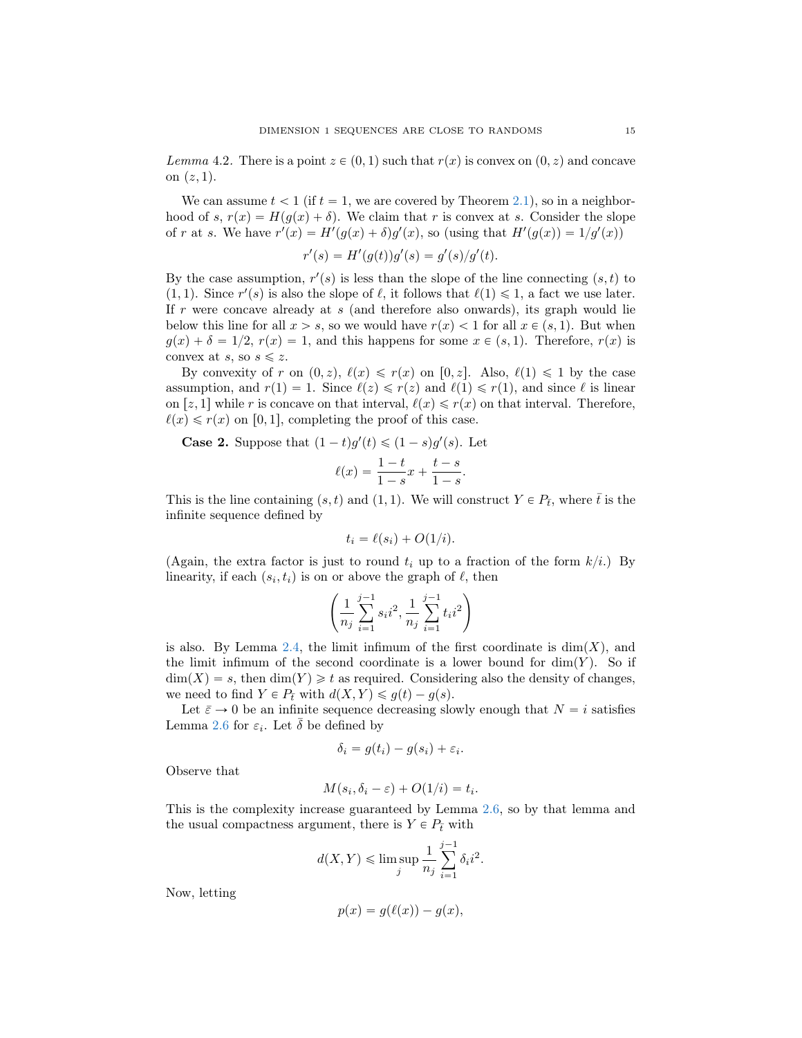Lemma 4.2. There is a point  $z \in (0, 1)$  such that  $r(x)$  is convex on  $(0, z)$  and concave on  $(z, 1)$ .

We can assume  $t < 1$  (if  $t = 1$ , we are covered by Theorem [2.1\)](#page-6-2), so in a neighborhood of s,  $r(x) = H(g(x) + \delta)$ . We claim that r is convex at s. Consider the slope of r at s. We have  $r'(x) = H'(g(x) + \delta)g'(x)$ , so (using that  $H'(g(x)) = 1/g'(x)$ )

$$
r'(s) = H'(g(t))g'(s) = g'(s)/g'(t).
$$

By the case assumption,  $r'(s)$  is less than the slope of the line connecting  $(s, t)$  to (1, 1). Since  $r'(s)$  is also the slope of  $\ell$ , it follows that  $\ell(1) \leq 1$ , a fact we use later. If r were concave already at  $s$  (and therefore also onwards), its graph would lie below this line for all  $x > s$ , so we would have  $r(x) < 1$  for all  $x \in (s, 1)$ . But when  $g(x) + \delta = 1/2$ ,  $r(x) = 1$ , and this happens for some  $x \in (s, 1)$ . Therefore,  $r(x)$  is convex at s, so  $s \leq z$ .

By convexity of r on  $(0, z)$ ,  $\ell(x) \leq r(x)$  on  $[0, z]$ . Also,  $\ell(1) \leq 1$  by the case assumption, and  $r(1) = 1$ . Since  $\ell(z) \leq r(z)$  and  $\ell(1) \leq r(1)$ , and since  $\ell$  is linear on  $[z, 1]$  while r is concave on that interval,  $\ell(x) \leq r(x)$  on that interval. Therefore,  $\ell(x) \leq r(x)$  on [0, 1], completing the proof of this case.

**Case 2.** Suppose that  $(1-t)g'(t) \leq (1-s)g'(s)$ . Let

$$
\ell(x) = \frac{1-t}{1-s}x + \frac{t-s}{1-s}.
$$

This is the line containing  $(s, t)$  and  $(1, 1)$ . We will construct  $Y \in P_t$ , where  $\bar{t}$  is the infinite sequence defined by

$$
t_i = \ell(s_i) + O(1/i).
$$

(Again, the extra factor is just to round  $t_i$  up to a fraction of the form  $k/i$ .) By linearity, if each  $(s_i, t_i)$  is on or above the graph of  $\ell$ , then

$$
\left(\frac{1}{n_j}\sum_{i=1}^{j-1}s_ii^2, \frac{1}{n_j}\sum_{i=1}^{j-1}t_ii^2\right)
$$

is also. By Lemma [2.4,](#page-7-0) the limit infimum of the first coordinate is  $dim(X)$ , and the limit infimum of the second coordinate is a lower bound for  $\dim(Y)$ . So if  $\dim(X) = s$ , then  $\dim(Y) \geq t$  as required. Considering also the density of changes, we need to find  $Y \in P_{\overline{t}}$  with  $d(X, Y) \leq g(t) - g(s)$ .

Let  $\bar{\varepsilon} \to 0$  be an infinite sequence decreasing slowly enough that  $N = i$  satisfies Lemma [2.6](#page-8-1) for  $\varepsilon_i$ . Let  $\bar{\delta}$  be defined by

$$
\delta_i = g(t_i) - g(s_i) + \varepsilon_i.
$$

Observe that

$$
M(s_i, \delta_i - \varepsilon) + O(1/i) = t_i.
$$

This is the complexity increase guaranteed by Lemma [2.6,](#page-8-1) so by that lemma and the usual compactness argument, there is  $Y \in P_{\bar{t}}$  with

$$
d(X,Y) \le \limsup_j \frac{1}{n_j} \sum_{i=1}^{j-1} \delta_i i^2.
$$

Now, letting

$$
p(x) = g(\ell(x)) - g(x),
$$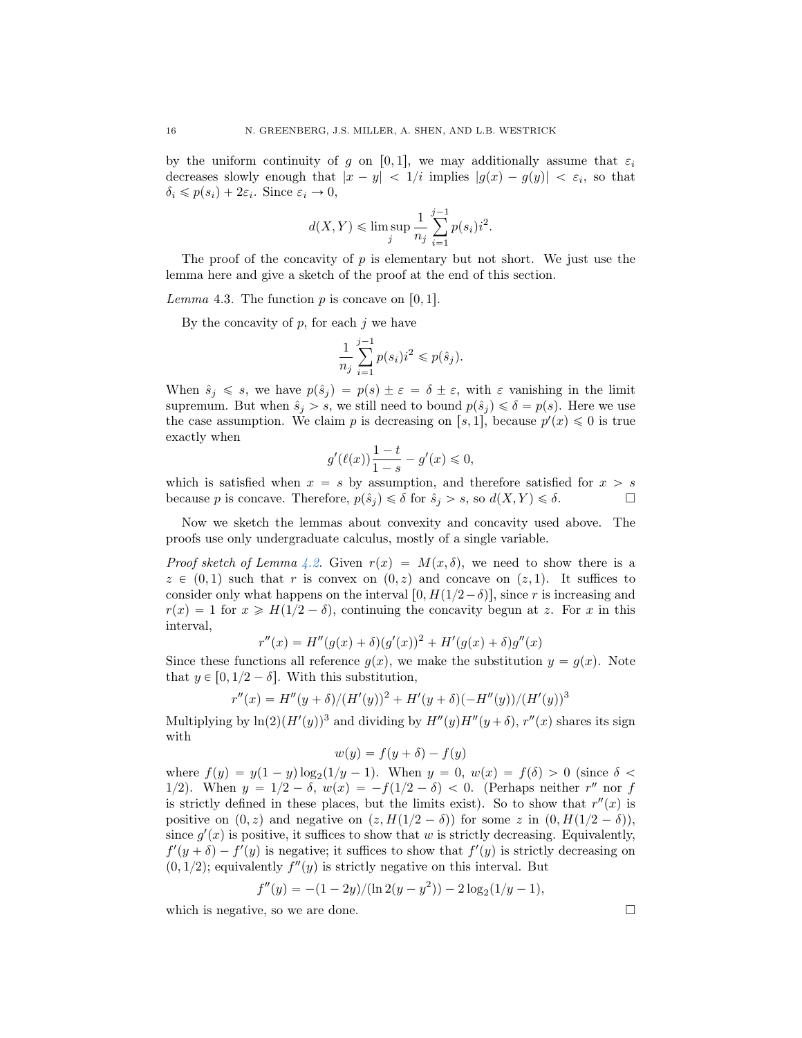by the uniform continuity of g on [0,1], we may additionally assume that  $\varepsilon_i$ decreases slowly enough that  $|x - y| < 1/i$  implies  $|g(x) - g(y)| < \varepsilon_i$ , so that  $\delta_i \leqslant p(s_i) + 2\varepsilon_i$ . Since  $\varepsilon_i \to 0$ ,

$$
d(X, Y) \le \limsup_{j} \frac{1}{n_j} \sum_{i=1}^{j-1} p(s_i) i^2.
$$

The proof of the concavity of  $p$  is elementary but not short. We just use the lemma here and give a sketch of the proof at the end of this section.

<span id="page-15-0"></span>Lemma 4.3. The function  $p$  is concave on [0, 1].

By the concavity of  $p$ , for each  $j$  we have

$$
\frac{1}{n_j}\sum_{i=1}^{j-1}p(s_i)i^2\leqslant p(\hat{s}_j).
$$

When  $\hat{s}_j \leq s$ , we have  $p(\hat{s}_j) = p(s) \pm \varepsilon = \delta \pm \varepsilon$ , with  $\varepsilon$  vanishing in the limit supremum. But when  $\hat{s}_i > s$ , we still need to bound  $p(\hat{s}_i) \leq \delta = p(s)$ . Here we use the case assumption. We claim p is decreasing on [s, 1], because  $p'(x) \leq 0$  is true exactly when

$$
g'(\ell(x))\frac{1-t}{1-s} - g'(x) \le 0,
$$

which is satisfied when  $x = s$  by assumption, and therefore satisfied for  $x > s$ because p is concave. Therefore,  $p(\hat{s}_i) \leq \delta$  for  $\hat{s}_i > s$ , so  $d(X, Y) \leq \delta$ .

Now we sketch the lemmas about convexity and concavity used above. The proofs use only undergraduate calculus, mostly of a single variable.

*Proof sketch of Lemma [4.2.](#page-13-0)* Given  $r(x) = M(x, \delta)$ , we need to show there is a  $z \in (0, 1)$  such that r is convex on  $(0, z)$  and concave on  $(z, 1)$ . It suffices to consider only what happens on the interval  $[0, H(1/2-\delta)]$ , since r is increasing and  $r(x) = 1$  for  $x \ge H(1/2 - \delta)$ , continuing the concavity begun at z. For x in this interval,

$$
r''(x) = H''(g(x) + \delta)(g'(x))^2 + H'(g(x) + \delta)g''(x)
$$

Since these functions all reference  $g(x)$ , we make the substitution  $y = g(x)$ . Note that  $y \in [0, 1/2 - \delta]$ . With this substitution,

$$
r''(x) = H''(y+\delta)/(H'(y))^2 + H'(y+\delta)(-H''(y))/(H'(y))^3
$$

Multiplying by  $\ln(2)(H'(y))^3$  and dividing by  $H''(y)H''(y+\delta)$ ,  $r''(x)$  shares its sign with

$$
w(y) = f(y + \delta) - f(y)
$$

where  $f(y) = y(1 - y) \log_2(1/y - 1)$ . When  $y = 0$ ,  $w(x) = f(\delta) > 0$  (since  $\delta <$ 1/2). When  $y = 1/2 - \delta$ ,  $w(x) = -f(1/2 - \delta) < 0$ . (Perhaps neither r'' nor f is strictly defined in these places, but the limits exist). So to show that  $r''(x)$  is positive on  $(0, z)$  and negative on  $(z, H(1/2 - \delta))$  for some z in  $(0, H(1/2 - \delta))$ , since  $g'(x)$  is positive, it suffices to show that w is strictly decreasing. Equivalently,  $f'(y + \delta) - f'(y)$  is negative; it suffices to show that  $f'(y)$  is strictly decreasing on  $(0, 1/2)$ ; equivalently  $f''(y)$  is strictly negative on this interval. But

$$
f''(y) = -(1-2y)/(\ln 2(y-y^2)) - 2\log_2(1/y - 1),
$$

which is negative, so we are done.  $\square$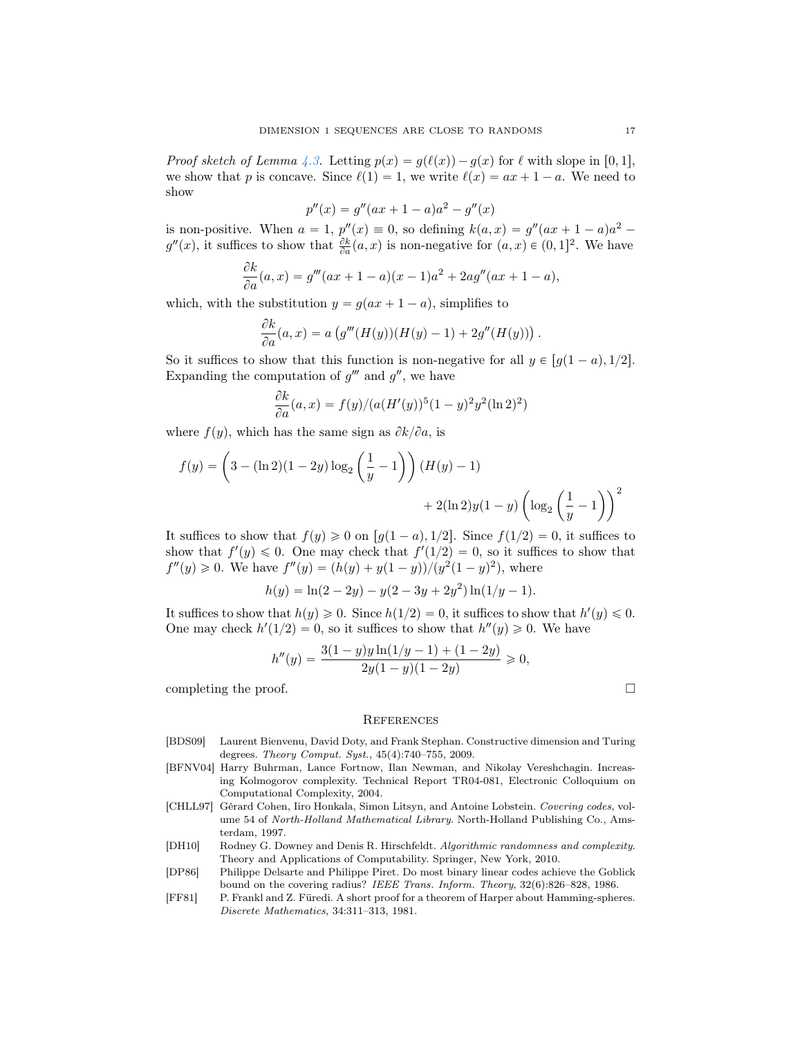*Proof sketch of Lemma [4.3.](#page-15-0)* Letting  $p(x) = g(\ell(x)) - g(x)$  for  $\ell$  with slope in [0, 1], we show that p is concave. Since  $\ell(1) = 1$ , we write  $\ell(x) = ax + 1 - a$ . We need to show

$$
p''(x) = g''(ax + 1 - a)a^2 - g''(x)
$$

is non-positive. When  $a = 1$ ,  $p''(x) \equiv 0$ , so defining  $k(a, x) = g''(ax + 1 - a)a^2$  $g''(x)$ , it suffices to show that  $\frac{\partial k}{\partial a}(a, x)$  is non-negative for  $(a, x) \in (0, 1]^2$ . We have

$$
\frac{\partial k}{\partial a}(a,x) = g'''(ax+1-a)(x-1)a^2 + 2ag''(ax+1-a),
$$

which, with the substitution  $y = g(ax + 1 - a)$ , simplifies to

$$
\frac{\partial k}{\partial a}(a,x) = a\left(g'''(H(y))(H(y)-1) + 2g''(H(y))\right).
$$

So it suffices to show that this function is non-negative for all  $y \in [g(1 - a), 1/2]$ . Expanding the computation of  $g'''$  and  $g''$ , we have

$$
\frac{\partial k}{\partial a}(a, x) = f(y)/(a(H'(y))^5(1-y)^2y^2(\ln 2)^2)
$$

where  $f(y)$ , which has the same sign as  $\partial k/\partial a$ , is

$$
f(y) = \left(3 - (\ln 2)(1 - 2y)\log_2\left(\frac{1}{y} - 1\right)\right)(H(y) - 1) + 2(\ln 2)y(1 - y)\left(\log_2\left(\frac{1}{y} - 1\right)\right)^2
$$

It suffices to show that  $f(y) \geq 0$  on  $[g(1 - a), 1/2]$ . Since  $f(1/2) = 0$ , it suffices to show that  $f'(y) \leq 0$ . One may check that  $f'(1/2) = 0$ , so it suffices to show that  $f''(y) \geq 0$ . We have  $f''(y) = (h(y) + y(1-y))/(y^2(1-y)^2)$ , where

$$
h(y) = \ln(2 - 2y) - y(2 - 3y + 2y^{2})\ln(1/y - 1).
$$

It suffices to show that  $h(y) \geq 0$ . Since  $h(1/2) = 0$ , it suffices to show that  $h'(y) \leq 0$ . One may check  $h'(1/2) = 0$ , so it suffices to show that  $h''(y) \ge 0$ . We have

$$
h''(y) = \frac{3(1-y)y\ln(1/y - 1) + (1-2y)}{2y(1-y)(1-2y)} \ge 0,
$$
  
completing the proof.

### **REFERENCES**

- <span id="page-16-2"></span>[BDS09] Laurent Bienvenu, David Doty, and Frank Stephan. Constructive dimension and Turing degrees. Theory Comput. Syst., 45(4):740–755, 2009.
- <span id="page-16-1"></span>[BFNV04] Harry Buhrman, Lance Fortnow, Ilan Newman, and Nikolay Vereshchagin. Increasing Kolmogorov complexity. Technical Report TR04-081, Electronic Colloquium on Computational Complexity, 2004.
- <span id="page-16-5"></span>[CHLL97] Gérard Cohen, Iiro Honkala, Simon Litsyn, and Antoine Lobstein. Covering codes, volume 54 of North-Holland Mathematical Library. North-Holland Publishing Co., Amsterdam, 1997.
- <span id="page-16-0"></span>[DH10] Rodney G. Downey and Denis R. Hirschfeldt. Algorithmic randomness and complexity. Theory and Applications of Computability. Springer, New York, 2010.
- <span id="page-16-4"></span>[DP86] Philippe Delsarte and Philippe Piret. Do most binary linear codes achieve the Goblick bound on the covering radius? IEEE Trans. Inform. Theory, 32(6):826–828, 1986.
- <span id="page-16-3"></span>[FF81] P. Frankl and Z. Füredi. A short proof for a theorem of Harper about Hamming-spheres. Discrete Mathematics, 34:311–313, 1981.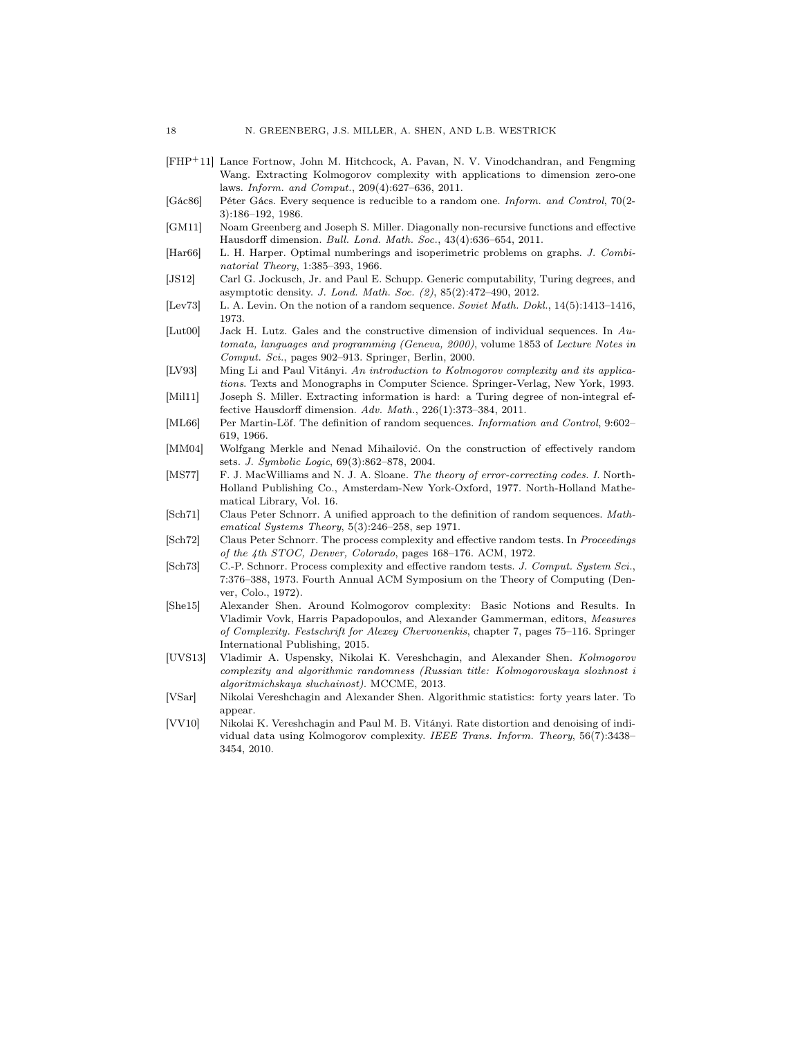- <span id="page-17-11"></span>[FHP`11] Lance Fortnow, John M. Hitchcock, A. Pavan, N. V. Vinodchandran, and Fengming Wang. Extracting Kolmogorov complexity with applications to dimension zero-one laws. Inform. and Comput., 209(4):627–636, 2011.
- <span id="page-17-15"></span>[Gác86] Péter Gács. Every sequence is reducible to a random one. Inform. and Control, 70(2- 3):186–192, 1986.
- <span id="page-17-13"></span>[GM11] Noam Greenberg and Joseph S. Miller. Diagonally non-recursive functions and effective Hausdorff dimension. Bull. Lond. Math. Soc., 43(4):636–654, 2011.
- <span id="page-17-16"></span>[Har66] L. H. Harper. Optimal numberings and isoperimetric problems on graphs. J. Combinatorial Theory, 1:385–393, 1966.
- <span id="page-17-10"></span>[JS12] Carl G. Jockusch, Jr. and Paul E. Schupp. Generic computability, Turing degrees, and asymptotic density. J. Lond. Math. Soc. (2), 85(2):472–490, 2012.
- <span id="page-17-5"></span>[Lev73] L. A. Levin. On the notion of a random sequence. Soviet Math. Dokl., 14(5):1413–1416, 1973.
- <span id="page-17-8"></span>[Lut00] Jack H. Lutz. Gales and the constructive dimension of individual sequences. In Automata, languages and programming (Geneva, 2000), volume 1853 of Lecture Notes in Comput. Sci., pages 902–913. Springer, Berlin, 2000.
- <span id="page-17-6"></span>[LV93] Ming Li and Paul Vitányi. An introduction to Kolmogorov complexity and its applications. Texts and Monographs in Computer Science. Springer-Verlag, New York, 1993.
- <span id="page-17-12"></span>[Mil11] Joseph S. Miller. Extracting information is hard: a Turing degree of non-integral effective Hausdorff dimension. Adv. Math., 226(1):373–384, 2011.
- <span id="page-17-0"></span>[ML66] Per Martin-Löf. The definition of random sequences. Information and Control, 9:602– 619, 1966.
- <span id="page-17-14"></span>[MM04] Wolfgang Merkle and Nenad Mihailović. On the construction of effectively random sets. J. Symbolic Logic, 69(3):862–878, 2004.
- <span id="page-17-9"></span>[MS77] F. J. MacWilliams and N. J. A. Sloane. The theory of error-correcting codes. I. North-Holland Publishing Co., Amsterdam-New York-Oxford, 1977. North-Holland Mathematical Library, Vol. 16.
- <span id="page-17-7"></span>[Sch71] Claus Peter Schnorr. A unified approach to the definition of random sequences. Mathematical Systems Theory, 5(3):246–258, sep 1971.
- <span id="page-17-3"></span>[Sch72] Claus Peter Schnorr. The process complexity and effective random tests. In Proceedings of the 4th STOC, Denver, Colorado, pages 168–176. ACM, 1972.
- <span id="page-17-4"></span>[Sch73] C.-P. Schnorr. Process complexity and effective random tests. J. Comput. System Sci., 7:376–388, 1973. Fourth Annual ACM Symposium on the Theory of Computing (Denver, Colo., 1972).
- <span id="page-17-2"></span>[She15] Alexander Shen. Around Kolmogorov complexity: Basic Notions and Results. In Vladimir Vovk, Harris Papadopoulos, and Alexander Gammerman, editors, Measures of Complexity. Festschrift for Alexey Chervonenkis, chapter 7, pages 75–116. Springer International Publishing, 2015.
- <span id="page-17-1"></span>[UVS13] Vladimir A. Uspensky, Nikolai K. Vereshchagin, and Alexander Shen. Kolmogorov complexity and algorithmic randomness (Russian title: Kolmogorovskaya slozhnost i algoritmichskaya sluchainost). MCCME, 2013.
- <span id="page-17-18"></span>[VSar] Nikolai Vereshchagin and Alexander Shen. Algorithmic statistics: forty years later. To appear.
- <span id="page-17-17"></span>[VV10] Nikolai K. Vereshchagin and Paul M. B. Vitányi. Rate distortion and denoising of individual data using Kolmogorov complexity. IEEE Trans. Inform. Theory, 56(7):3438– 3454, 2010.